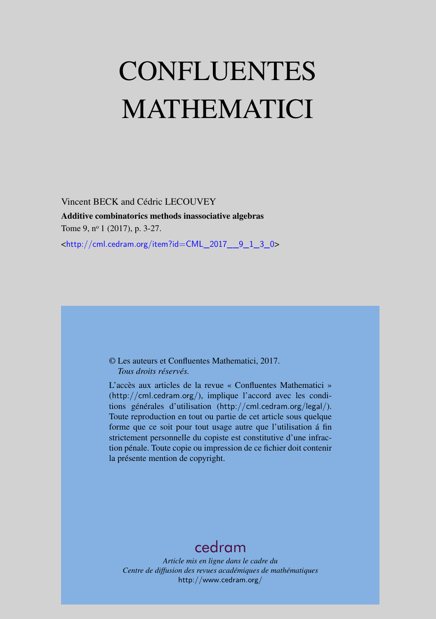# CONFLUENTES MATHEMATICI

Vincent BECK and Cédric LECOUVEY Additive combinatorics methods inassociative algebras Tome 9, nº 1 (2017), p. 3-27. <[http://cml.cedram.org/item?id=CML\\_2017\\_\\_9\\_1\\_3\\_0](http://cml.cedram.org/item?id=CML_2017__9_1_3_0)>

### © Les auteurs et Confluentes Mathematici, 2017. *Tous droits réservés.*

L'accès aux articles de la revue « Confluentes Mathematici » (<http://cml.cedram.org/>), implique l'accord avec les conditions générales d'utilisation (<http://cml.cedram.org/legal/>). Toute reproduction en tout ou partie de cet article sous quelque forme que ce soit pour tout usage autre que l'utilisation á fin strictement personnelle du copiste est constitutive d'une infraction pénale. Toute copie ou impression de ce fichier doit contenir la présente mention de copyright.

# [cedram](http://www.cedram.org/)

*Article mis en ligne dans le cadre du Centre de diffusion des revues académiques de mathématiques* <http://www.cedram.org/>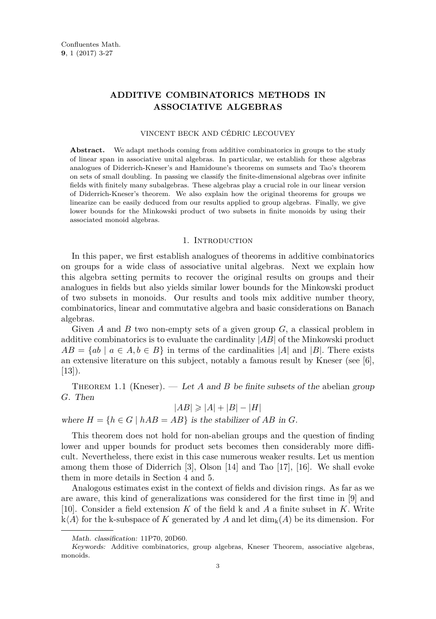## **ADDITIVE COMBINATORICS METHODS IN ASSOCIATIVE ALGEBRAS**

#### VINCENT BECK AND CÉDRIC LECOUVEY

Abstract. We adapt methods coming from additive combinatorics in groups to the study of linear span in associative unital algebras. In particular, we establish for these algebras analogues of Diderrich-Kneser's and Hamidoune's theorems on sumsets and Tao's theorem on sets of small doubling. In passing we classify the finite-dimensional algebras over infinite fields with finitely many subalgebras. These algebras play a crucial role in our linear version of Diderrich-Kneser's theorem. We also explain how the original theorems for groups we linearize can be easily deduced from our results applied to group algebras. Finally, we give lower bounds for the Minkowski product of two subsets in finite monoids by using their associated monoid algebras.

#### 1. INTRODUCTION

In this paper, we first establish analogues of theorems in additive combinatorics on groups for a wide class of associative unital algebras. Next we explain how this algebra setting permits to recover the original results on groups and their analogues in fields but also yields similar lower bounds for the Minkowski product of two subsets in monoids. Our results and tools mix additive number theory, combinatorics, linear and commutative algebra and basic considerations on Banach algebras.

Given *A* and *B* two non-empty sets of a given group *G*, a classical problem in additive combinatorics is to evaluate the cardinality |*AB*| of the Minkowski product  $AB = \{ab \mid a \in A, b \in B\}$  in terms of the cardinalities |*A*| and |*B*|. There exists an extensive literature on this subject, notably a famous result by Kneser (see  $\lbrack 6 \rbrack$ ,  $[13]$ .

THEOREM 1.1 (Kneser). — Let *A* and *B* be finite subsets of the abelian group *G*. Then

$$
|AB| \geq |A| + |B| - |H|
$$

where  $H = \{h \in G \mid hAB = AB\}$  is the stabilizer of AB in *G*.

This theorem does not hold for non-abelian groups and the question of finding lower and upper bounds for product sets becomes then considerably more difficult. Nevertheless, there exist in this case numerous weaker results. Let us mention among them those of Diderrich [\[3\]](#page-24-2), Olson [\[14\]](#page-24-3) and Tao [\[17\]](#page-24-4), [\[16\]](#page-24-5). We shall evoke them in more details in Section [4](#page-12-0) and [5.](#page-17-0)

Analogous estimates exist in the context of fields and division rings. As far as we are aware, this kind of generalizations was considered for the first time in [\[9\]](#page-24-6) and [\[10\]](#page-24-7). Consider a field extension *K* of the field k and *A* a finite subset in *K*. Write  $k\langle A \rangle$  for the k-subspace of *K* generated by *A* and let  $\dim_k(A)$  be its dimension. For

Math. classification: 11P70, 20D60.

Keywords: Additive combinatorics, group algebras, Kneser Theorem, associative algebras, monoids.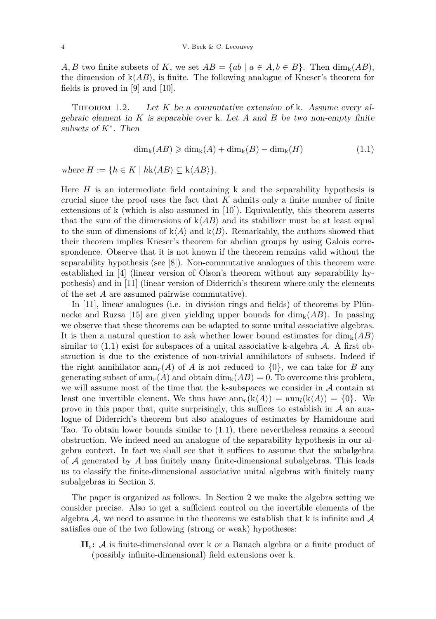*A, B* two finite subsets of *K*, we set  $AB = \{ab \mid a \in A, b \in B\}$ . Then  $\dim_k(AB)$ , the dimension of  $k\langle AB \rangle$ , is finite. The following analogue of Kneser's theorem for fields is proved in [\[9\]](#page-24-6) and [\[10\]](#page-24-7).

<span id="page-2-1"></span>THEOREM  $1.2.$  — Let K be a commutative extension of k. Assume every algebraic element in *K* is separable over k. Let *A* and *B* be two non-empty finite subsets of *K*<sup>∗</sup> . Then

<span id="page-2-0"></span>
$$
\dim_{k}(AB) \geqslant \dim_{k}(A) + \dim_{k}(B) - \dim_{k}(H) \tag{1.1}
$$

where  $H := \{ h \in K \mid hk \langle AB \rangle \subseteq k \langle AB \rangle \}.$ 

Here *H* is an intermediate field containing k and the separability hypothesis is crucial since the proof uses the fact that *K* admits only a finite number of finite extensions of k (which is also assumed in [\[10\]](#page-24-7)). Equivalently, this theorem asserts that the sum of the dimensions of  $k\langle AB \rangle$  and its stabilizer must be at least equal to the sum of dimensions of  $k\langle A \rangle$  and  $k\langle B \rangle$ . Remarkably, the authors showed that their theorem implies Kneser's theorem for abelian groups by using Galois correspondence. Observe that it is not known if the theorem remains valid without the separability hypothesis (see [\[8\]](#page-24-8)). Non-commutative analogues of this theorem were established in [\[4\]](#page-24-9) (linear version of Olson's theorem without any separability hypothesis) and in [\[11\]](#page-24-10) (linear version of Diderrich's theorem where only the elements of the set *A* are assumed pairwise commutative).

In [\[11\]](#page-24-10), linear analogues (i.e. in division rings and fields) of theorems by Plün-necke and Ruzsa [\[15\]](#page-24-11) are given yielding upper bounds for  $\dim_k(AB)$ . In passing we observe that these theorems can be adapted to some unital associative algebras. It is then a natural question to ask whether lower bound estimates for  $\dim_k(AB)$ similar to  $(1.1)$  exist for subspaces of a unital associative k-algebra  $A$ . A first obstruction is due to the existence of non-trivial annihilators of subsets. Indeed if the right annihilator  $\text{ann}_r(A)$  of *A* is not reduced to  $\{0\}$ , we can take for *B* any generating subset of  $ann_r(A)$  and obtain  $\dim_k(AB) = 0$ . To overcome this problem, we will assume most of the time that the k-subspaces we consider in  $A$  contain at least one invertible element. We thus have  $ann_r(k\langle A \rangle) = ann_l(k\langle A \rangle) = \{0\}$ . We prove in this paper that, quite surprisingly, this suffices to establish in  $\mathcal A$  an analogue of Diderrich's theorem but also analogues of estimates by Hamidoune and Tao. To obtain lower bounds similar to [\(1.1\)](#page-2-0), there nevertheless remains a second obstruction. We indeed need an analogue of the separability hypothesis in our algebra context. In fact we shall see that it suffices to assume that the subalgebra of A generated by *A* has finitely many finite-dimensional subalgebras. This leads us to classify the finite-dimensional associative unital algebras with finitely many subalgebras in Section [3.](#page-7-0)

The paper is organized as follows. In Section 2 we make the algebra setting we consider precise. Also to get a sufficient control on the invertible elements of the algebra  $A$ , we need to assume in the theorems we establish that k is infinite and  $A$ satisfies one of the two following (strong or weak) hypotheses:

**H**s**:** A is finite-dimensional over k or a Banach algebra or a finite product of (possibly infinite-dimensional) field extensions over k.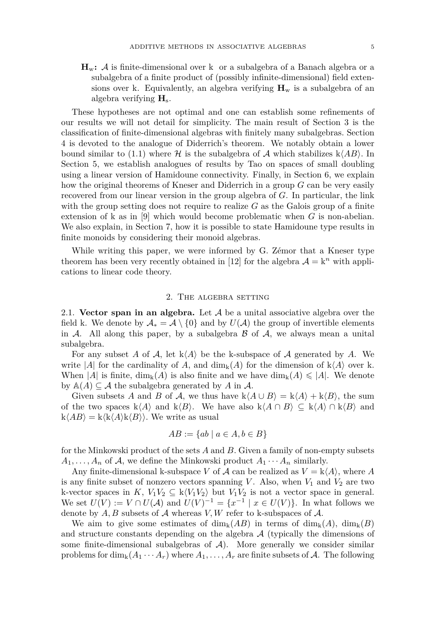**H**w**:** A is finite-dimensional over k or a subalgebra of a Banach algebra or a subalgebra of a finite product of (possibly infinite-dimensional) field extensions over k. Equivalently, an algebra verifying  $\mathbf{H}_w$  is a subalgebra of an algebra verifying **H**s.

These hypotheses are not optimal and one can establish some refinements of our results we will not detail for simplicity. The main result of Section 3 is the classification of finite-dimensional algebras with finitely many subalgebras. Section 4 is devoted to the analogue of Diderrich's theorem. We notably obtain a lower bound similar to [\(1.1\)](#page-2-0) where  $\mathcal H$  is the subalgebra of  $\mathcal A$  which stabilizes  $k\langle AB\rangle$ . In Section 5, we establish analogues of results by Tao on spaces of small doubling using a linear version of Hamidoune connectivity. Finally, in Section 6, we explain how the original theorems of Kneser and Diderrich in a group *G* can be very easily recovered from our linear version in the group algebra of *G*. In particular, the link with the group setting does not require to realize  $G$  as the Galois group of a finite extension of k as in [\[9\]](#page-24-6) which would become problematic when *G* is non-abelian. We also explain, in Section 7, how it is possible to state Hamidoune type results in finite monoids by considering their monoid algebras.

While writing this paper, we were informed by G. Zémor that a Kneser type theorem has been very recently obtained in [\[12\]](#page-24-12) for the algebra  $\mathcal{A} = k^n$  with applications to linear code theory.

#### 2. The algebra setting

2.1. **Vector span in an algebra.** Let A be a unital associative algebra over the field k. We denote by  $\mathcal{A}_* = \mathcal{A} \setminus \{0\}$  and by  $U(\mathcal{A})$  the group of invertible elements in  $\mathcal A$ . All along this paper, by a subalgebra  $\mathcal B$  of  $\mathcal A$ , we always mean a unital subalgebra.

For any subset A of A, let  $k\langle A \rangle$  be the k-subspace of A generated by A. We write |*A*| for the cardinality of *A*, and  $\dim_k(A)$  for the dimension of  $k\langle A \rangle$  over k. When |*A*| is finite,  $\dim_k(A)$  is also finite and we have  $\dim_k(A) \leq |A|$ . We denote by  $\mathbb{A}(A) \subseteq \mathcal{A}$  the subalgebra generated by A in  $\mathcal{A}$ .

Given subsets *A* and *B* of *A*, we thus have  $k\langle A \cup B \rangle = k\langle A \rangle + k\langle B \rangle$ , the sum of the two spaces  $k\langle A \rangle$  and  $k\langle B \rangle$ . We have also  $k\langle A \cap B \rangle \subseteq k\langle A \rangle \cap k\langle B \rangle$  and  $k\langle AB \rangle = k\langle k\langle A \rangle k\langle B \rangle$ . We write as usual

$$
AB := \{ ab \mid a \in A, b \in B \}
$$

for the Minkowski product of the sets *A* and *B*. Given a family of non-empty subsets  $A_1, \ldots, A_n$  of A, we define the Minkowski product  $A_1 \cdots A_n$  similarly.

Any finite-dimensional k-subspace *V* of  $\mathcal A$  can be realized as  $V = k \langle A \rangle$ , where *A* is any finite subset of nonzero vectors spanning *V*. Also, when  $V_1$  and  $V_2$  are two k-vector spaces in *K*,  $V_1V_2 \subseteq k\langle V_1V_2 \rangle$  but  $V_1V_2$  is not a vector space in general. We set  $U(V) := V \cap U(\mathcal{A})$  and  $U(V)^{-1} = \{x^{-1} \mid x \in U(V)\}\$ . In what follows we denote by  $A, B$  subsets of  $A$  whereas  $V, W$  refer to k-subspaces of  $A$ .

We aim to give some estimates of  $\dim_k(AB)$  in terms of  $\dim_k(A)$ ,  $\dim_k(B)$ and structure constants depending on the algebra  $A$  (typically the dimensions of some finite-dimensional subalgebras of  $A$ ). More generally we consider similar problems for  $\dim_k(A_1 \cdots A_r)$  where  $A_1, \ldots, A_r$  are finite subsets of A. The following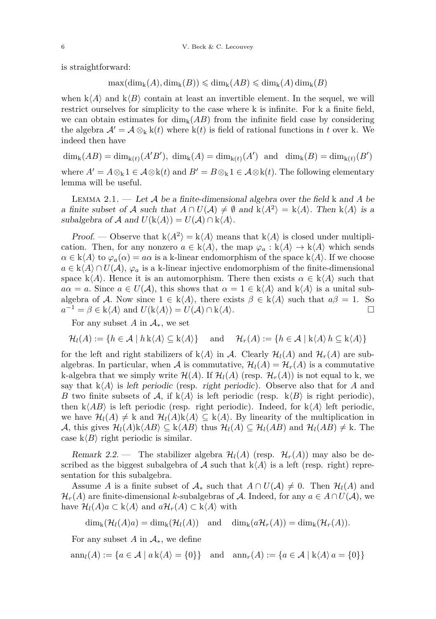is straightforward:

 $\max(\dim_{\mathbf{k}}(A), \dim_{\mathbf{k}}(B)) \leqslant \dim_{\mathbf{k}}(AB) \leqslant \dim_{\mathbf{k}}(A) \dim_{\mathbf{k}}(B)$ 

when  $k\langle A\rangle$  and  $k\langle B\rangle$  contain at least an invertible element. In the sequel, we will restrict ourselves for simplicity to the case where k is infinite. For k a finite field, we can obtain estimates for  $\dim_k(AB)$  from the infinite field case by considering the algebra  $\mathcal{A}' = \mathcal{A} \otimes_{k} k(t)$  where  $k(t)$  is field of rational functions in *t* over k. We indeed then have

 $\dim_k(AB) = \dim_{k(t)}(A'B'), \dim_k(A) = \dim_{k(t)}(A') \text{ and } \dim_k(B) = \dim_{k(t)}(B')$ 

where  $A' = A \otimes_{k} 1 \in A \otimes k(t)$  and  $B' = B \otimes_{k} 1 \in A \otimes k(t)$ . The following elementary lemma will be useful.

<span id="page-4-0"></span>Lemma 2.1. — Let A be a finite-dimensional algebra over the field k and *A* be a finite subset of *A* such that  $A \cap U(A) \neq \emptyset$  and  $k\langle A^2 \rangle = k\langle A \rangle$ . Then  $k\langle A \rangle$  is a subalgebra of A and  $U(k\langle A \rangle) = U(A) \cap k\langle A \rangle$ .

Proof. — Observe that  $k\langle A^2 \rangle = k\langle A \rangle$  means that  $k\langle A \rangle$  is closed under multiplication. Then, for any nonzero  $a \in k\langle A \rangle$ , the map  $\varphi_a : k\langle A \rangle \to k\langle A \rangle$  which sends  $\alpha \in k\langle A \rangle$  to  $\varphi_a(\alpha) = a\alpha$  is a k-linear endomorphism of the space  $k\langle A \rangle$ . If we choose  $a \in k\langle A \rangle \cap U(\mathcal{A}), \varphi_a$  is a k-linear injective endomorphism of the finite-dimensional space k $\langle A \rangle$ . Hence it is an automorphism. There then exists  $\alpha \in k\langle A \rangle$  such that  $a\alpha = a$ . Since  $a \in U(\mathcal{A})$ , this shows that  $\alpha = 1 \in k\langle A \rangle$  and  $k\langle A \rangle$  is a unital subalgebra of A. Now since  $1 \in k\langle A \rangle$ , there exists  $\beta \in k\langle A \rangle$  such that  $a\beta = 1$ . So  $a^{-1} = \beta \in k\langle A \rangle$  and  $U(k\langle A \rangle) = U(A) \cap k\langle A \rangle$ .

For any subset *A* in  $\mathcal{A}_*$ , we set

$$
\mathcal{H}_l(A) := \{ h \in \mathcal{A} \mid h \, \mathrm{k}\langle A \rangle \subseteq \mathrm{k}\langle A \rangle \} \quad \text{ and } \quad \mathcal{H}_r(A) := \{ h \in \mathcal{A} \mid \mathrm{k}\langle A \rangle \, h \subseteq \mathrm{k}\langle A \rangle \}
$$

for the left and right stabilizers of  $k\langle A \rangle$  in A. Clearly  $\mathcal{H}_l(A)$  and  $\mathcal{H}_r(A)$  are subalgebras. In particular, when A is commutative,  $\mathcal{H}_l(A) = \mathcal{H}_r(A)$  is a commutative k-algebra that we simply write  $\mathcal{H}(A)$ . If  $\mathcal{H}_l(A)$  (resp.  $\mathcal{H}_r(A)$ ) is not equal to k, we say that  $k\langle A \rangle$  is left periodic (resp. right periodic). Observe also that for *A* and *B* two finite subsets of A, if  $k\langle A \rangle$  is left periodic (resp.  $k\langle B \rangle$  is right periodic), then  $k\langle AB \rangle$  is left periodic (resp. right periodic). Indeed, for  $k\langle A \rangle$  left periodic, we have  $\mathcal{H}_l(A) \neq k$  and  $\mathcal{H}_l(A)k\langle A \rangle \subseteq k\langle A \rangle$ . By linearity of the multiplication in A, this gives  $\mathcal{H}_l(A)$ k $\langle AB \rangle \subseteq$  k $\langle AB \rangle$  thus  $\mathcal{H}_l(A) \subseteq \mathcal{H}_l(AB)$  and  $\mathcal{H}_l(AB) \neq$  k. The case  $k\langle B \rangle$  right periodic is similar.

Remark 2.2. — The stabilizer algebra  $\mathcal{H}_{l}(A)$  (resp.  $\mathcal{H}_{r}(A)$ ) may also be described as the biggest subalgebra of  $A$  such that  $k\langle A \rangle$  is a left (resp. right) representation for this subalgebra.

Assume *A* is a finite subset of  $A_*$  such that  $A \cap U(A) \neq 0$ . Then  $\mathcal{H}_l(A)$  and  $\mathcal{H}_r(A)$  are finite-dimensional *k*-subalgebras of A. Indeed, for any  $a \in A \cap U(A)$ , we have  $\mathcal{H}_l(A)a \subset k\langle A \rangle$  and  $a\mathcal{H}_r(A) \subset k\langle A \rangle$  with

$$
\dim_{\mathbf{k}}(\mathcal{H}_l(A)a) = \dim_{\mathbf{k}}(\mathcal{H}_l(A)) \text{ and } \dim_{\mathbf{k}}(a\mathcal{H}_r(A)) = \dim_{\mathbf{k}}(\mathcal{H}_r(A)).
$$

For any subset *A* in  $A_*$ , we define

$$
\operatorname{ann}_l(A) := \{ a \in \mathcal{A} \mid a \mathbf{k} \langle A \rangle = \{0\} \} \quad \text{and} \quad \operatorname{ann}_r(A) := \{ a \in \mathcal{A} \mid \mathbf{k} \langle A \rangle \, a = \{0\} \}
$$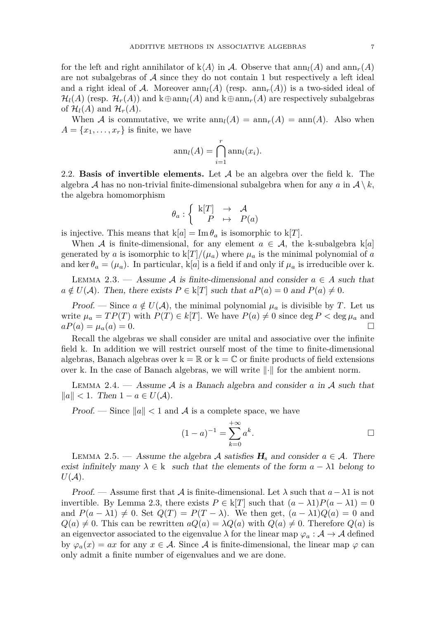for the left and right annihilator of  $k\langle A \rangle$  in A. Observe that  $ann_l(A)$  and  $ann_r(A)$ are not subalgebras of  $A$  since they do not contain 1 but respectively a left ideal and a right ideal of A. Moreover  $ann_l(A)$  (resp.  $ann_r(A)$ ) is a two-sided ideal of  $\mathcal{H}_l(A)$  (resp.  $\mathcal{H}_r(A)$ ) and  $k \oplus \text{ann}_l(A)$  and  $k \oplus \text{ann}_r(A)$  are respectively subalgebras of  $\mathcal{H}_l(A)$  and  $\mathcal{H}_r(A)$ .

When A is commutative, we write  $ann_l(A) = ann_r(A) = ann(A)$ . Also when  $A = \{x_1, \ldots, x_r\}$  is finite, we have

$$
\operatorname{ann}_l(A) = \bigcap_{i=1}^r \operatorname{ann}_l(x_i).
$$

2.2. **Basis of invertible elements.** Let A be an algebra over the field k. The algebra A has no non-trivial finite-dimensional subalgebra when for any  $a$  in  $A \setminus k$ , the algebra homomorphism

$$
\theta_a: \left\{ \begin{array}{ccc} \mathbf{k}[T] & \to & \mathcal{A} \\ P & \mapsto & P(a) \end{array} \right.
$$

is injective. This means that  $k[a] = \text{Im } \theta_a$  is isomorphic to  $k[T]$ .

When A is finite-dimensional, for any element  $a \in \mathcal{A}$ , the k-subalgebra k[a] generated by *a* is isomorphic to  $k[T]/(\mu_a)$  where  $\mu_a$  is the minimal polynomial of *a* and ker  $\theta_a = (\mu_a)$ . In particular, k[a] is a field if and only if  $\mu_a$  is irreducible over k.

<span id="page-5-0"></span>LEMMA 2.3. — Assume A is finite-dimensional and consider  $a \in A$  such that  $a \notin U(\mathcal{A})$ . Then, there exists  $P \in k[T]$  such that  $aP(a) = 0$  and  $P(a) \neq 0$ .

*Proof.* — Since  $a \notin U(\mathcal{A})$ , the minimal polynomial  $\mu_a$  is divisible by *T*. Let us write  $\mu_a = TP(T)$  with  $P(T) \in k[T]$ . We have  $P(a) \neq 0$  since deg  $P < \deg \mu_a$  and  $aP(a) = \mu_a(a) = 0.$ 

Recall the algebras we shall consider are unital and associative over the infinite field k. In addition we will restrict ourself most of the time to finite-dimensional algebras, Banach algebras over  $k = \mathbb{R}$  or  $k = \mathbb{C}$  or finite products of field extensions over k. In the case of Banach algebras, we will write  $\|\cdot\|$  for the ambient norm.

<span id="page-5-1"></span>Lemma 2.4. — Assume A is a Banach algebra and consider *a* in A such that *k*<sup>a</sup>k  $||a||$  < 1. Then 1 − *a* ∈ *U*( $A$ ).

*Proof.* — Since  $||a|| < 1$  and A is a complete space, we have

$$
(1 - a)^{-1} = \sum_{k=0}^{+\infty} a^k.
$$

LEMMA 2.5. — Assume the algebra A satisfies  $H_s$  and consider  $a \in \mathcal{A}$ . There exist infinitely many  $\lambda \in k$  such that the elements of the form  $a - \lambda 1$  belong to  $U(\mathcal{A})$ .

Proof. — Assume first that  $\mathcal A$  is finite-dimensional. Let  $\lambda$  such that  $a-\lambda 1$  is not invertible. By Lemma [2.3,](#page-5-0) there exists  $P \in k[T]$  such that  $(a - \lambda 1)P(a - \lambda 1) = 0$ and  $P(a - \lambda 1) \neq 0$ . Set  $Q(T) = P(T - \lambda)$ . We then get,  $(a - \lambda 1)Q(a) = 0$  and  $Q(a) \neq 0$ . This can be rewritten  $aQ(a) = \lambda Q(a)$  with  $Q(a) \neq 0$ . Therefore  $Q(a)$  is an eigenvector associated to the eigenvalue  $\lambda$  for the linear map  $\varphi_a : A \to A$  defined by  $\varphi_a(x) = ax$  for any  $x \in A$ . Since A is finite-dimensional, the linear map  $\varphi$  can only admit a finite number of eigenvalues and we are done.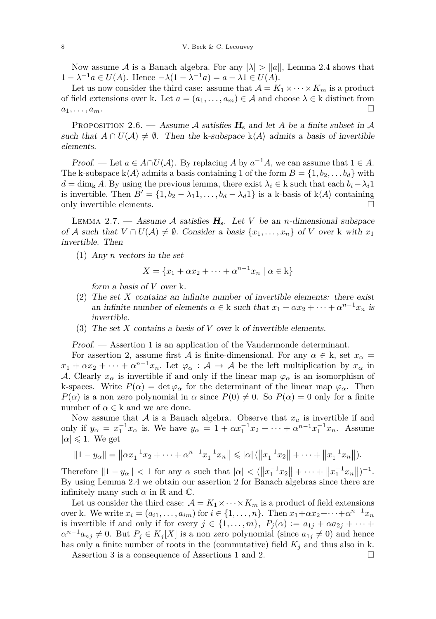Now assume A is a Banach algebra. For any  $|\lambda| > ||a||$ , Lemma [2.4](#page-5-1) shows that  $1 - \lambda^{-1}a$  ∈ *U*(*A*). Hence  $-\lambda(1 - \lambda^{-1}a) = a - \lambda 1$  ∈ *U*(*A*).

Let us now consider the third case: assume that  $A = K_1 \times \cdots \times K_m$  is a product of field extensions over k. Let  $a = (a_1, \ldots, a_m) \in \mathcal{A}$  and choose  $\lambda \in \mathcal{k}$  distinct from  $a_1, \ldots, a_m$ .

<span id="page-6-0"></span>PROPOSITION 2.6. — Assume A satisfies  $H_s$  and let A be a finite subset in A such that  $A \cap U(\mathcal{A}) \neq \emptyset$ . Then the k-subspace k $\langle A \rangle$  admits a basis of invertible elements.

Proof. — Let  $a \in A \cap U(A)$ . By replacing A by  $a^{-1}A$ , we can assume that  $1 \in A$ . The k-subspace  $k\langle A \rangle$  admits a basis containing 1 of the form  $B = \{1, b_2, \ldots, b_d\}$  with  $d = \dim_{\mathbf{k}} A$ . By using the previous lemma, there exist  $\lambda_i \in \mathbf{k}$  such that each  $b_i - \lambda_i 1$ is invertible. Then  $B' = \{1, b_2 - \lambda_1 1, \ldots, b_d - \lambda_d 1\}$  is a k-basis of k $\langle A \rangle$  containing only invertible elements.  $\Box$ 

<span id="page-6-1"></span>LEMMA 2.7. — Assume A satisfies  $H_s$ . Let *V* be an *n*-dimensional subspace of A such that  $V \cap U(\mathcal{A}) \neq \emptyset$ . Consider a basis  $\{x_1, \ldots, x_n\}$  of V over k with  $x_1$ invertible. Then

(1) Any *n* vectors in the set

$$
X = \{x_1 + \alpha x_2 + \dots + \alpha^{n-1} x_n \mid \alpha \in \mathbf{k}\}
$$

form a basis of *V* over k.

- (2) The set *X* contains an infinite number of invertible elements: there exist an infinite number of elements  $\alpha \in \mathbf{k}$  such that  $x_1 + \alpha x_2 + \cdots + \alpha^{n-1} x_n$  is invertible.
- (3) The set *X* contains a basis of *V* over k of invertible elements.

Proof. — Assertion 1 is an application of the Vandermonde determinant.

For assertion 2, assume first A is finite-dimensional. For any  $\alpha \in k$ , set  $x_{\alpha} =$  $x_1 + \alpha x_2 + \cdots + \alpha^{n-1} x_n$ . Let  $\varphi_\alpha : A \to A$  be the left multiplication by  $x_\alpha$  in A. Clearly  $x_\alpha$  is invertible if and only if the linear map  $\varphi_\alpha$  is an isomorphism of k-spaces. Write  $P(\alpha) = \det \varphi_{\alpha}$  for the determinant of the linear map  $\varphi_{\alpha}$ . Then *P*(*α*) is a non zero polynomial in *α* since  $P(0) \neq 0$ . So  $P(\alpha) = 0$  only for a finite number of  $\alpha \in \mathbf{k}$  and we are done.

Now assume that  $A$  is a Banach algebra. Observe that  $x_a$  is invertible if and only if  $y_{\alpha} = x_1^{-1} x_{\alpha}$  is. We have  $y_{\alpha} = 1 + \alpha x_1^{-1} x_2 + \cdots + \alpha^{n-1} x_1^{-1} x_n$ . Assume  $|\alpha| \leq 1$ . We get

$$
||1 - y_{\alpha}|| = ||\alpha x_1^{-1} x_2 + \dots + \alpha^{n-1} x_1^{-1} x_n|| \leq |\alpha| (||x_1^{-1} x_2|| + \dots + ||x_1^{-1} x_n||).
$$

Therefore  $||1 - y_\alpha|| < 1$  for any  $\alpha$  such that  $|\alpha| < (||x_1^{-1}x_2|| + \cdots + ||x_1^{-1}x_n||)^{-1}$ . By using Lemma [2.4](#page-5-1) we obtain our assertion 2 for Banach algebras since there are infinitely many such  $\alpha$  in  $\mathbb R$  and  $\mathbb C$ .

Let us consider the third case:  $\mathcal{A} = K_1 \times \cdots \times K_m$  is a product of field extensions over k. We write  $x_i = (a_{i1}, \ldots, a_{im})$  for  $i \in \{1, \ldots, n\}$ . Then  $x_1 + \alpha x_2 + \cdots + \alpha^{n-1} x_n$ is invertible if and only if for every  $j \in \{1, \ldots, m\}$ ,  $P_j(\alpha) := a_{1j} + \alpha a_{2j} + \cdots$  $\alpha^{n-1}a_{nj}\neq 0$ . But  $P_j \in K_j[X]$  is a non zero polynomial (since  $a_{1j}\neq 0$ ) and hence has only a finite number of roots in the (commutative) field  $K_j$  and thus also in k.

Assertion 3 is a consequence of Assertions 1 and 2.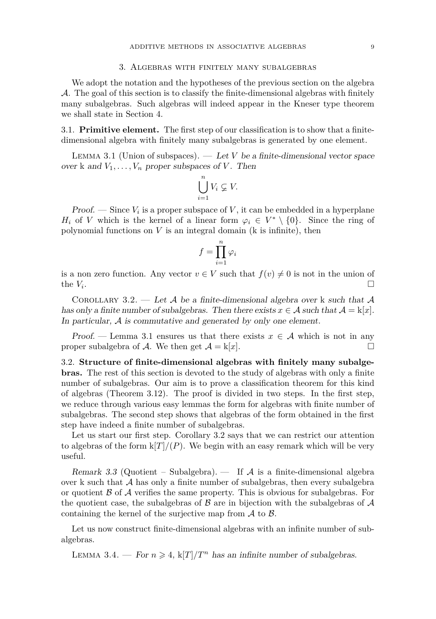#### 3. Algebras with finitely many subalgebras

<span id="page-7-0"></span>We adopt the notation and the hypotheses of the previous section on the algebra A. The goal of this section is to classify the finite-dimensional algebras with finitely many subalgebras. Such algebras will indeed appear in the Kneser type theorem we shall state in Section [4.](#page-12-0)

3.1. **Primitive element.** The first step of our classification is to show that a finitedimensional algebra with finitely many subalgebras is generated by one element.

<span id="page-7-1"></span>Lemma 3.1 (Union of subspaces). — Let *V* be a finite-dimensional vector space over k and  $V_1, \ldots, V_n$  proper subspaces of *V*. Then

$$
\bigcup_{i=1}^{n} V_i \varsubsetneq V.
$$

**Proof.** — Since  $V_i$  is a proper subspace of V, it can be embedded in a hyperplane *H<sub>i</sub>* of *V* which is the kernel of a linear form  $\varphi_i \in V^* \setminus \{0\}$ . Since the ring of polynomial functions on *V* is an integral domain (k is infinite), then

$$
f = \prod_{i=1}^{n} \varphi_i
$$

is a non zero function. Any vector  $v \in V$  such that  $f(v) \neq 0$  is not in the union of the  $V_i$ . .

<span id="page-7-2"></span>COROLLARY 3.2. — Let A be a finite-dimensional algebra over k such that A has only a finite number of subalgebras. Then there exists  $x \in A$  such that  $A = k[x]$ . In particular, A is commutative and generated by only one element.

Proof. — Lemma [3.1](#page-7-1) ensures us that there exists  $x \in A$  which is not in any proper subalgebra of A. We then get  $A = k|x|$ .

3.2. **Structure of finite-dimensional algebras with finitely many subalgebras.** The rest of this section is devoted to the study of algebras with only a finite number of subalgebras. Our aim is to prove a classification theorem for this kind of algebras (Theorem [3.12\)](#page-11-0). The proof is divided in two steps. In the first step, we reduce through various easy lemmas the form for algebras with finite number of subalgebras. The second step shows that algebras of the form obtained in the first step have indeed a finite number of subalgebras.

Let us start our first step. Corollary [3.2](#page-7-2) says that we can restrict our attention to algebras of the form  $k[T]/(P)$ . We begin with an easy remark which will be very useful.

<span id="page-7-3"></span>Remark 3.3 (Quotient – Subalgebra). — If  $\mathcal A$  is a finite-dimensional algebra over k such that  $A$  has only a finite number of subalgebras, then every subalgebra or quotient  $\beta$  of  $\mathcal A$  verifies the same property. This is obvious for subalgebras. For the quotient case, the subalgebras of  $\beta$  are in bijection with the subalgebras of  $\mathcal A$ containing the kernel of the surjective map from  $\mathcal A$  to  $\mathcal B$ .

Let us now construct finite-dimensional algebras with an infinite number of subalgebras.

<span id="page-7-4"></span>LEMMA 3.4. — For  $n \geq 4$ ,  $k[T]/T^n$  has an infinite number of subalgebras.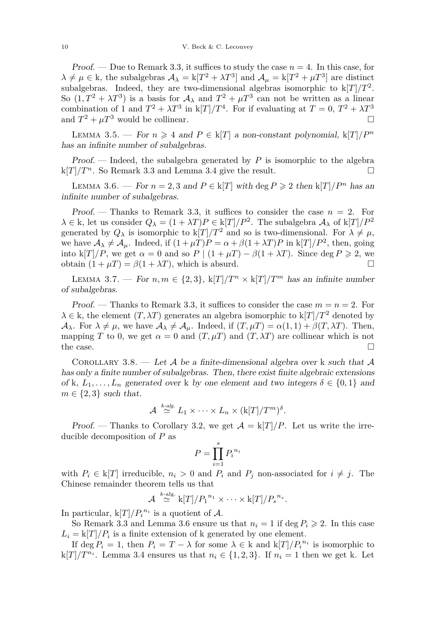Proof. — Due to Remark [3.3,](#page-7-3) it suffices to study the case  $n = 4$ . In this case, for  $\lambda \neq \mu \in \mathbb{k}$ , the subalgebras  $\mathcal{A}_{\lambda} = \mathbb{k}[T^2 + \lambda T^3]$  and  $\mathcal{A}_{\mu} = \mathbb{k}[T^2 + \mu T^3]$  are distinct subalgebras. Indeed, they are two-dimensional algebras isomorphic to k[*T*]*/T*<sup>2</sup> . So  $(1, T^2 + \lambda T^3)$  is a basis for  $\mathcal{A}_{\lambda}$  and  $T^2 + \mu T^3$  can not be written as a linear combination of 1 and  $T^2 + \lambda T^3$  in k[*T*]/ $T^4$ . For if evaluating at  $T = 0$ ,  $T^2 + \lambda T^3$ and  $T^2 + \mu T^3$  would be collinear.

LEMMA 3.5. — For  $n \geq 4$  and  $P \in k[T]$  a non-constant polynomial,  $k[T]/P^n$ has an infinite number of subalgebras.

Proof. — Indeed, the subalgebra generated by *P* is isomorphic to the algebra  $k[T]/T^n$ . So Remark [3.3](#page-7-3) and Lemma [3.4](#page-7-4) give the result.

<span id="page-8-0"></span>LEMMA 3.6. — For  $n = 2, 3$  and  $P \in k[T]$  with deg  $P \ge 2$  then  $k[T]/P^n$  has an infinite number of subalgebras.

Proof. — Thanks to Remark [3.3,](#page-7-3) it suffices to consider the case  $n = 2$ . For  $\lambda \in \mathbb{k}$ , let us consider  $Q_{\lambda} = (1 + \lambda T)P \in \mathbb{k}[T]/P^2$ . The subalgebra  $\mathcal{A}_{\lambda}$  of  $\mathbb{k}[T]/P^2$ generated by  $Q_{\lambda}$  is isomorphic to  $k[T]/T^2$  and so is two-dimensional. For  $\lambda \neq \mu$ , we have  $A_{\lambda} \neq A_{\mu}$ . Indeed, if  $(1 + \mu T)P = \alpha + \beta(1 + \lambda T)P$  in k[*T*]/ $P^2$ , then, going into k[*T*]*/P*, we get  $\alpha = 0$  and so  $P \mid (1 + \mu) - \beta(1 + \lambda)$ . Since deg  $P \ge 2$ , we obtain  $(1 + \mu) = \beta(1 + \lambda)$ , which is absurd.

<span id="page-8-1"></span>LEMMA 3.7. — For  $n, m \in \{2,3\}$ ,  $k[T]/T^n \times k[T]/T^m$  has an infinite number of subalgebras.

Proof. — Thanks to Remark [3.3,](#page-7-3) it suffices to consider the case  $m = n = 2$ . For  $\lambda \in \mathbf{k}$ , the element  $(T, \lambda T)$  generates an algebra isomorphic to  $\mathbf{k}[T]/T^2$  denoted by  $\mathcal{A}_{\lambda}$ . For  $\lambda \neq \mu$ , we have  $\mathcal{A}_{\lambda} \neq \mathcal{A}_{\mu}$ . Indeed, if  $(T, \mu) = \alpha(1, 1) + \beta(T, \lambda)$ . Then, mapping *T* to 0, we get  $\alpha = 0$  and  $(T, \mu)$  and  $(T, \lambda)$  are collinear which is not the case.  $\Box$ 

<span id="page-8-2"></span>COROLLARY 3.8. — Let A be a finite-dimensional algebra over k such that A has only a finite number of subalgebras. Then, there exist finite algebraic extensions of k,  $L_1, \ldots, L_n$  generated over k by one element and two integers  $\delta \in \{0,1\}$  and  $m \in \{2,3\}$  such that.

$$
\mathcal{A} \stackrel{k\text{-alg.}}{\simeq} L_1 \times \cdots \times L_n \times (\mathbf{k}[T]/T^m)^{\delta}.
$$

Proof. — Thanks to Corollary [3.2,](#page-7-2) we get  $A = k[T]/P$ . Let us write the irreducible decomposition of *P* as

$$
P = \prod_{i=1}^{s} P_i^{n_i}
$$

with  $P_i \in k[T]$  irreducible,  $n_i > 0$  and  $P_i$  and  $P_j$  non-associated for  $i \neq j$ . The Chinese remainder theorem tells us that

$$
\mathcal{A} \stackrel{k\text{-alg.}}{\simeq} \mathbf{k}[T]/P_1^{n_1} \times \cdots \times \mathbf{k}[T]/P_s^{n_s}.
$$

In particular,  $k[T]/P_i^{n_i}$  is a quotient of A.

So Remark [3.3](#page-7-3) and Lemma [3.6](#page-8-0) ensure us that  $n_i = 1$  if deg  $P_i \ge 2$ . In this case  $L_i = k[T]/P_i$  is a finite extension of k generated by one element.

If  $\deg P_i = 1$ , then  $P_i = T - \lambda$  for some  $\lambda \in \mathbb{k}$  and  $\mathbb{k}[T]/P_i^{n_i}$  is isomorphic to  $k[T]/T^{n_i}$ . Lemma [3.4](#page-7-4) ensures us that  $n_i \in \{1, 2, 3\}$ . If  $n_i = 1$  then we get k. Let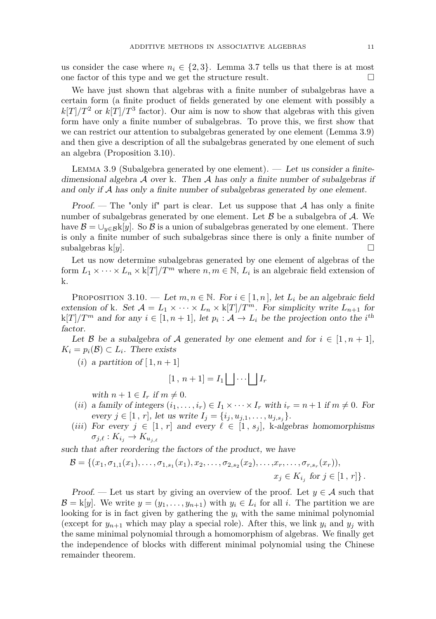us consider the case where  $n_i \in \{2, 3\}$ . Lemma [3.7](#page-8-1) tells us that there is at most one factor of this type and we get the structure result.

We have just shown that algebras with a finite number of subalgebras have a certain form (a finite product of fields generated by one element with possibly a  $k[T]/T^2$  or  $k[T]/T^3$  factor). Our aim is now to show that algebras with this given form have only a finite number of subalgebras. To prove this, we first show that we can restrict our attention to subalgebras generated by one element (Lemma [3.9\)](#page-9-0) and then give a description of all the subalgebras generated by one element of such an algebra (Proposition [3.10\)](#page-9-1).

<span id="page-9-0"></span>LEMMA 3.9 (Subalgebra generated by one element). — Let us consider a finitedimensional algebra  $A$  over k. Then  $A$  has only a finite number of subalgebras if and only if A has only a finite number of subalgebras generated by one element.

*Proof.* — The "only if" part is clear. Let us suppose that  $A$  has only a finite number of subalgebras generated by one element. Let  $\beta$  be a subalgebra of  $\mathcal{A}$ . We have  $\mathcal{B} = \bigcup_{y \in \mathcal{B}} k[y]$ . So  $\mathcal{B}$  is a union of subalgebras generated by one element. There is only a finite number of such subalgebras since there is only a finite number of subalgebras k[*y*].  $\square$ 

Let us now determine subalgebras generated by one element of algebras of the form  $L_1 \times \cdots \times L_n \times k[T]/T^m$  where  $n, m \in \mathbb{N}$ ,  $L_i$  is an algebraic field extension of k.

<span id="page-9-1"></span>PROPOSITION 3.10. — Let  $m, n \in \mathbb{N}$ . For  $i \in [1, n]$ , let  $L_i$  be an algebraic field extension of k. Set  $\mathcal{A} = L_1 \times \cdots \times L_n \times k[T]/T^m$ . For simplicity write  $L_{n+1}$  for  $k[T]/T^m$  and for any  $i \in [1, n+1]$ , let  $p_i : A \to L_i$  be the projection onto the *i*<sup>th</sup> factor.

Let B be a subalgebra of A generated by one element and for  $i \in [1, n+1]$ ,  $K_i = p_i(\mathcal{B}) \subset L_i$ . There exists

(*i*) a partition of  $[1, n+1]$ 

$$
[1, n+1] = I_1 \bigsqcup \cdots \bigsqcup I_r
$$

with  $n + 1 \in I_r$  if  $m \neq 0$ .

- (*ii*) a family of integers  $(i_1, \ldots, i_r) \in I_1 \times \cdots \times I_r$  with  $i_r = n + 1$  if  $m \neq 0$ . For every  $j \in [1, r]$ , let us write  $I_j = \{i_j, u_{j,1}, \ldots, u_{j,s_j}\}.$
- (*iii*) For every  $j \in [1, r]$  and every  $\ell \in [1, s_j]$ , k-algebras homomorphisms  $\sigma_{j,\ell}: K_{i_j} \to K_{u_{j,\ell}}$

such that after reordering the factors of the product, we have

$$
\mathcal{B} = \{ (x_1, \sigma_{1,1}(x_1), \ldots, \sigma_{1,s_1}(x_1), x_2, \ldots, \sigma_{2,s_2}(x_2), \ldots, x_r, \ldots, \sigma_{r,s_r}(x_r)),
$$
  

$$
x_j \in K_{i_j} \text{ for } j \in [1, r] \}.
$$

Proof. — Let us start by giving an overview of the proof. Let  $y \in A$  such that  $\mathcal{B} = k[y]$ . We write  $y = (y_1, \ldots, y_{n+1})$  with  $y_i \in L_i$  for all *i*. The partition we are looking for is in fact given by gathering the  $y_i$  with the same minimal polynomial (except for  $y_{n+1}$  which may play a special role). After this, we link  $y_i$  and  $y_j$  with the same minimal polynomial through a homomorphism of algebras. We finally get the independence of blocks with different minimal polynomial using the Chinese remainder theorem.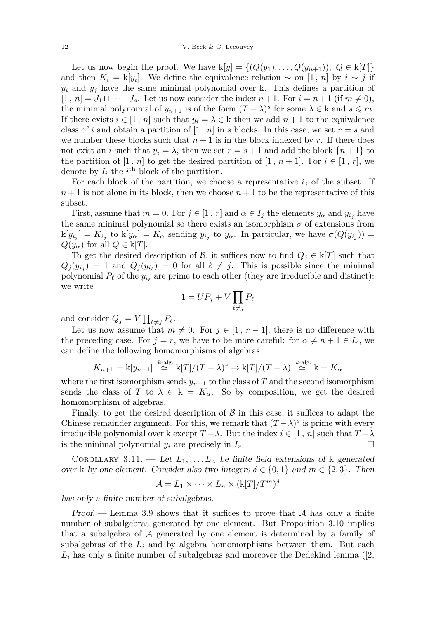Let us now begin the proof. We have  $k[y] = \{(Q(y_1),...,Q(y_{n+1})), Q \in k[T]\}$ and then  $K_i = k[y_i]$ . We define the equivalence relation  $\sim$  on [1, *n*] by  $i \sim j$  if  $y_i$  and  $y_j$  have the same minimal polynomial over k. This defines a partition of  $[1, n] = J_1 \sqcup \cdots \sqcup J_s$ . Let us now consider the index  $n+1$ . For  $i = n+1$  (if  $m \neq 0$ ), the minimal polynomial of  $y_{n+1}$  is of the form  $(T - \lambda)^s$  for some  $\lambda \in \mathbf{k}$  and  $s \leq m$ . If there exists  $i \in [1, n]$  such that  $y_i = \lambda \in \mathbb{k}$  then we add  $n + 1$  to the equivalence class of *i* and obtain a partition of  $[1, n]$  in *s* blocks. In this case, we set  $r = s$  and we number these blocks such that  $n + 1$  is in the block indexed by r. If there does not exist an *i* such that  $y_i = \lambda$ , then we set  $r = s + 1$  and add the block  $\{n+1\}$  to the partition of  $[1, n]$  to get the desired partition of  $[1, n+1]$ . For  $i \in [1, r]$ , we denote by  $I_i$  the  $i^{\text{th}}$  block of the partition.

For each block of the partition, we choose a representative  $i_j$  of the subset. If  $n+1$  is not alone in its block, then we choose  $n+1$  to be the representative of this subset.

First, assume that  $m = 0$ . For  $j \in [1, r]$  and  $\alpha \in I_j$  the elements  $y_\alpha$  and  $y_i$ , have the same minimal polynomial so there exists an isomorphism  $\sigma$  of extensions from  $k[y_{i_j}] = K_{i_j}$  to  $k[y_\alpha] = K_\alpha$  sending  $y_{i_j}$  to  $y_\alpha$ . In particular, we have  $\sigma(Q(y_{i_j})) =$  $Q(y_\alpha)$  for all  $Q \in k[T]$ .

To get the desired description of B, it suffices now to find  $Q_j \in k[T]$  such that  $Q_j(y_{i_j}) = 1$  and  $Q_j(y_{i_\ell}) = 0$  for all  $\ell \neq j$ . This is possible since the minimal polynomial  $P_\ell$  of the  $y_{i_\ell}$  are prime to each other (they are irreducible and distinct): we write

$$
1 = UP_j + V \prod_{\ell \neq j} P_\ell
$$

and consider  $Q_j = V \prod_{\ell \neq j} P_\ell$ .

Let us now assume that  $m \neq 0$ . For  $j \in [1, r-1]$ , there is no difference with the preceding case. For  $j = r$ , we have to be more careful: for  $\alpha \neq n + 1 \in I_r$ , we can define the following homomorphisms of algebras

$$
K_{n+1} = k[y_{n+1}] \stackrel{k\text{-alg.}}{\simeq} k[T]/(T-\lambda)^s \to k[T]/(T-\lambda) \stackrel{k\text{-alg.}}{\simeq} k = K_{\alpha}
$$

where the first isomorphism sends  $y_{n+1}$  to the class of  $T$  and the second isomorphism sends the class of *T* to  $\lambda \in k = K_{\alpha}$ . So by composition, we get the desired homomorphism of algebras.

Finally, to get the desired description of  $\beta$  in this case, it suffices to adapt the Chinese remainder argument. For this, we remark that  $(T - \lambda)^s$  is prime with every irreducible polynomial over k except  $T - \lambda$ . But the index  $i \in [1, n]$  such that  $T - \lambda$ is the minimal polynomial  $y_i$  are precisely in  $I_r$ .

<span id="page-10-0"></span>COROLLARY 3.11. — Let  $L_1, \ldots, L_n$  be finite field extensions of k generated over k by one element. Consider also two integers  $\delta \in \{0,1\}$  and  $m \in \{2,3\}$ . Then

$$
\mathcal{A} = L_1 \times \cdots \times L_n \times (\mathrm{k}[T]/T^m)^{\delta}
$$

has only a finite number of subalgebras.

Proof. — Lemma [3.9](#page-9-0) shows that it suffices to prove that  $A$  has only a finite number of subalgebras generated by one element. But Proposition [3.10](#page-9-1) implies that a subalgebra of A generated by one element is determined by a family of subalgebras of the  $L_i$  and by algebra homomorphisms between them. But each  $L_i$  has only a finite number of subalgebras and moreover the Dedekind lemma ( $[2,$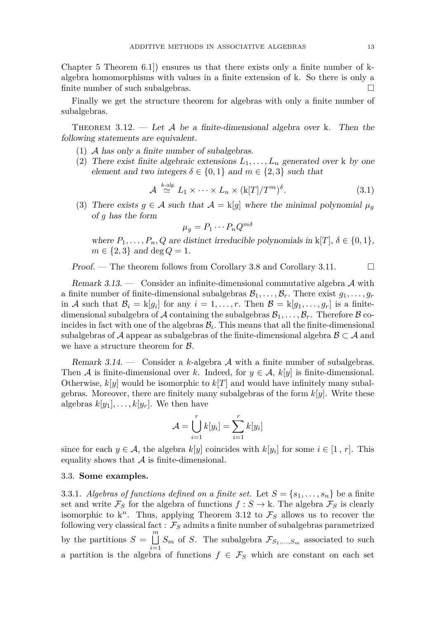Chapter 5 Theorem 6.1]) ensures us that there exists only a finite number of kalgebra homomorphisms with values in a finite extension of k. So there is only a finite number of such subalgebras.

Finally we get the structure theorem for algebras with only a finite number of subalgebras.

<span id="page-11-0"></span>THEOREM 3.12. — Let A be a finite-dimensional algebra over k. Then the following statements are equivalent.

(1) A has only a finite number of subalgebras.

*k*-alg.

(2) There exist finite algebraic extensions  $L_1, \ldots, L_n$  generated over k by one element and two integers  $\delta \in \{0,1\}$  and  $m \in \{2,3\}$  such that

<span id="page-11-1"></span>
$$
\mathcal{A} \stackrel{\kappa\text{-alg.}}{\simeq} L_1 \times \cdots \times L_n \times (\mathbf{k}[T]/T^m)^{\delta}.
$$
 (3.1)

(3) There exists  $g \in \mathcal{A}$  such that  $\mathcal{A} = k[g]$  where the minimal polynomial  $\mu_g$ of *g* has the form

 $\mu_g = P_1 \cdots P_n Q^{m \delta}$ 

where  $P_1, \ldots, P_n, Q$  are distinct irreducible polynomials in  $k[T], \delta \in \{0, 1\},$  $m \in \{2, 3\}$  and deg  $Q = 1$ .

Proof. — The theorem follows from Corollary [3.8](#page-8-2) and Corollary [3.11.](#page-10-0)  $\Box$ 

Remark 3.13. — Consider an infinite-dimensional commutative algebra  $\mathcal A$  with a finite number of finite-dimensional subalgebras  $\mathcal{B}_1, \ldots, \mathcal{B}_r$ . There exist  $g_1, \ldots, g_r$ in A such that  $\mathcal{B}_i = k[g_i]$  for any  $i = 1, \ldots, r$ . Then  $\mathcal{B} = k[g_1, \ldots, g_r]$  is a finitedimensional subalgebra of A containing the subalgebras  $\mathcal{B}_1, \ldots, \mathcal{B}_r$ . Therefore B coincides in fact with one of the algebras  $B<sub>i</sub>$ . This means that all the finite-dimensional subalgebras of A appear as subalgebras of the finite-dimensional algebra  $\mathcal{B} \subset \mathcal{A}$  and we have a structure theorem for  $\beta$ .

Remark 3.14. — Consider a *k*-algebra A with a finite number of subalgebras. Then A is finite-dimensional over k. Indeed, for  $y \in A$ ,  $k[y]$  is finite-dimensional. Otherwise,  $k[y]$  would be isomorphic to  $k[T]$  and would have infinitely many subalgebras. Moreover, there are finitely many subalgebras of the form *k*[*y*]. Write these algebras  $k[y_1], \ldots, k[y_r]$ . We then have

$$
\mathcal{A} = \bigcup_{i=1}^r k[y_i] = \sum_{i=1}^r k[y_i]
$$

since for each  $y \in A$ , the algebra  $k[y]$  coincides with  $k[y_i]$  for some  $i \in [1, r]$ . This equality shows that  $A$  is finite-dimensional.

#### 3.3. **Some examples.**

3.3.1. *Algebras of functions defined on a finite set.* Let  $S = \{s_1, \ldots, s_n\}$  be a finite set and write  $\mathcal{F}_S$  for the algebra of functions  $f : S \to \mathbf{k}$ . The algebra  $\mathcal{F}_S$  is clearly isomorphic to  $k^n$ . Thus, applying Theorem [3.12](#page-11-0) to  $\mathcal{F}_S$  allows us to recover the following very classical fact :  $\mathcal{F}_S$  admits a finite number of subalgebras parametrized by the partitions  $S = \bigsqcup_{i=1}^{m}$  $\bigsqcup_{i=1}$  *S<sub>m</sub>* of *S*. The subalgebra  $\mathcal{F}_{S_1,\dots,S_m}$  associated to such a partition is the algebra of functions  $f \in \mathcal{F}_S$  which are constant on each set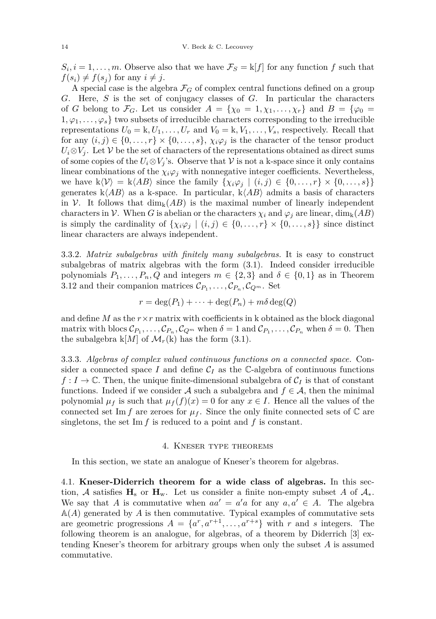$S_i, i = 1, \ldots, m$ . Observe also that we have  $\mathcal{F}_S = k[f]$  for any function *f* such that  $f(s_i) \neq f(s_j)$  for any  $i \neq j$ .

A special case is the algebra  $\mathcal{F}_G$  of complex central functions defined on a group *G*. Here, *S* is the set of conjugacy classes of *G*. In particular the characters of *G* belong to  $\mathcal{F}_G$ . Let us consider  $A = \{\chi_0 = 1, \chi_1, \ldots, \chi_r\}$  and  $B = \{\varphi_0 =$  $1, \varphi_1, \ldots, \varphi_s$  two subsets of irreducible characters corresponding to the irreducible representations  $U_0 = k, U_1, \ldots, U_r$  and  $V_0 = k, V_1, \ldots, V_s$ , respectively. Recall that for any  $(i, j) \in \{0, \ldots, r\} \times \{0, \ldots, s\}$ ,  $\chi_i \varphi_j$  is the character of the tensor product  $U_i \otimes V_j$ . Let V be the set of characters of the representations obtained as direct sums of some copies of the  $U_i \otimes V_j$ 's. Observe that  $V$  is not a k-space since it only contains linear combinations of the  $\chi_i \varphi_j$  with nonnegative integer coefficients. Nevertheless, we have  $k\langle \mathcal{V} \rangle = k\langle AB \rangle$  since the family  $\{ \chi_i \varphi_j \mid (i,j) \in \{0,\ldots,r\} \times \{0,\ldots,s\} \}$ generates  $k\langle AB\rangle$  as a k-space. In particular,  $k\langle AB\rangle$  admits a basis of characters in V. It follows that  $\dim_k(AB)$  is the maximal number of linearly independent characters in V. When *G* is abelian or the characters  $\chi_i$  and  $\varphi_j$  are linear, dim<sub>k</sub>(*AB*) is simply the cardinality of  $\{\chi_i\varphi_j \mid (i,j) \in \{0,\ldots,r\} \times \{0,\ldots,s\}\}\$  since distinct linear characters are always independent.

3.3.2. *Matrix subalgebras with finitely many subalgebras.* It is easy to construct subalgebras of matrix algebras with the form [\(3.1\)](#page-11-1). Indeed consider irreducible polynomials  $P_1, \ldots, P_n, Q$  and integers  $m \in \{2,3\}$  and  $\delta \in \{0,1\}$  as in Theorem [3.12](#page-11-0) and their companion matrices  $\mathcal{C}_{P_1}, \ldots, \mathcal{C}_{P_n}, \mathcal{C}_{Q^m}$ . Set

$$
r = \deg(P_1) + \cdots + \deg(P_n) + m\delta \deg(Q)
$$

and define  $M$  as the  $r \times r$  matrix with coefficients in k obtained as the block diagonal matrix with blocs  $\mathcal{C}_{P_1}, \ldots, \mathcal{C}_{P_n}, \mathcal{C}_{Q^m}$  when  $\delta = 1$  and  $\mathcal{C}_{P_1}, \ldots, \mathcal{C}_{P_n}$  when  $\delta = 0$ . Then the subalgebra  $k[M]$  of  $\mathcal{M}_r(k)$  has the form [\(3.1\)](#page-11-1).

3.3.3. *Algebras of complex valued continuous functions on a connected space.* Consider a connected space *I* and define  $C_I$  as the C-algebra of continuous functions  $f: I \to \mathbb{C}$ . Then, the unique finite-dimensional subalgebra of  $\mathcal{C}_I$  is that of constant functions. Indeed if we consider A such a subalgebra and  $f \in \mathcal{A}$ , then the minimal polynomial  $\mu_f$  is such that  $\mu_f(f)(x) = 0$  for any  $x \in I$ . Hence all the values of the connected set Im *f* are zeroes for  $\mu_f$ . Since the only finite connected sets of  $\mathbb C$  are singletons, the set Im *f* is reduced to a point and *f* is constant.

#### 4. Kneser type theorems

<span id="page-12-0"></span>In this section, we state an analogue of Kneser's theorem for algebras.

4.1. **Kneser-Diderrich theorem for a wide class of algebras.** In this section, A satisfies  $\mathbf{H}_s$  or  $\mathbf{H}_w$ . Let us consider a finite non-empty subset A of  $\mathcal{A}_*$ . We say that *A* is commutative when  $aa' = a'a$  for any  $a, a' \in A$ . The algebra  $A(A)$  generated by A is then commutative. Typical examples of commutative sets are geometric progressions  $A = \{a^r, a^{r+1}, \ldots, a^{r+s}\}\$  with *r* and *s* integers. The following theorem is an analogue, for algebras, of a theorem by Diderrich [\[3\]](#page-24-2) extending Kneser's theorem for arbitrary groups when only the subset *A* is assumed commutative.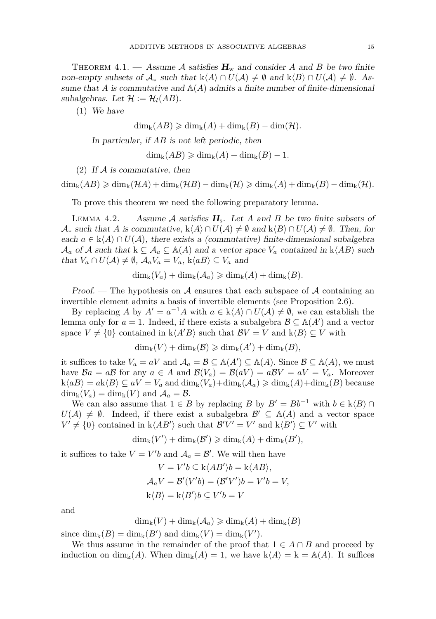<span id="page-13-0"></span>THEOREM 4.1. — Assume A satisfies  $H_w$  and consider A and B be two finite non-empty subsets of  $\mathcal{A}_*$  such that  $k\langle A \rangle \cap U(\mathcal{A}) \neq \emptyset$  and  $k\langle B \rangle \cap U(\mathcal{A}) \neq \emptyset$ . Assume that *A* is commutative and  $\mathbb{A}(A)$  admits a finite number of finite-dimensional subalgebras. Let  $\mathcal{H} := \mathcal{H}_l(AB)$ .

(1) We have

 $\dim_k(AB) \geqslant \dim_k(A) + \dim_k(B) - \dim(\mathcal{H}).$ 

In particular, if *AB* is not left periodic, then

 $\dim_{\mathbf{k}}(AB) \geqslant \dim_{\mathbf{k}}(A) + \dim_{\mathbf{k}}(B) - 1.$ 

(2) If  $A$  is commutative, then

 $\dim_k(AB) \geqslant \dim_k(\mathcal{H}A) + \dim_k(\mathcal{H}B) - \dim_k(\mathcal{H}) \geqslant \dim_k(A) + \dim_k(B) - \dim_k(\mathcal{H})$ .

To prove this theorem we need the following preparatory lemma.

<span id="page-13-1"></span>LEMMA 4.2. — Assume A satisfies  $H_s$ . Let A and B be two finite subsets of  $\mathcal{A}_*$  such that *A* is commutative,  $k\langle A \rangle \cap U(\mathcal{A}) \neq \emptyset$  and  $k\langle B \rangle \cap U(\mathcal{A}) \neq \emptyset$ . Then, for each  $a \in k\langle A \rangle \cap U(\mathcal{A})$ , there exists a (commutative) finite-dimensional subalgebra  $\mathcal{A}_a$  of  $\mathcal A$  such that  $k \subseteq \mathcal{A}_a \subseteq A(A)$  and a vector space  $V_a$  contained in  $k \langle AB \rangle$  such that  $V_a \cap U(\mathcal{A}) \neq \emptyset$ ,  $\mathcal{A}_a V_a = V_a$ ,  $k \langle a, \rangle \subseteq V_a$  and

$$
\dim_{k}(V_{a}) + \dim_{k}(\mathcal{A}_{a}) \geqslant \dim_{k}(A) + \dim_{k}(B).
$$

Proof. – The hypothesis on A ensures that each subspace of A containing an invertible element admits a basis of invertible elements (see Proposition [2.6\)](#page-6-0).

By replacing *A* by  $A' = a^{-1}A$  with  $a \in k\langle A \rangle \cap U(\mathcal{A}) \neq \emptyset$ , we can establish the lemma only for  $a = 1$ . Indeed, if there exists a subalgebra  $\mathcal{B} \subseteq \mathbb{A}(A')$  and a vector space  $V \neq \{0\}$  contained in  $k\langle A'B \rangle$  such that  $\mathcal{B}V = V$  and  $k\langle B \rangle \subseteq V$  with

$$
\dim_{k}(V) + \dim_{k}(\mathcal{B}) \geqslant \dim_{k}(A') + \dim_{k}(B),
$$

it suffices to take  $V_a = aV$  and  $\mathcal{A}_a = \mathcal{B} \subseteq \mathbb{A}(A') \subseteq \mathbb{A}(A)$ . Since  $\mathcal{B} \subseteq \mathbb{A}(A)$ , we must have  $\mathcal{B}a = a\mathcal{B}$  for any  $a \in A$  and  $\mathcal{B}(V_a) = \mathcal{B}(aV) = a\mathcal{B}V = aV = V_a$ . Moreover  $k\langle aB \rangle = a k \langle B \rangle \subseteq aV = V_a$  and  $\dim_k(V_a) + \dim_k(A_a) \geq \dim_k(A) + \dim_k(B)$  because  $\dim_{\mathbf{k}}(V_a) = \dim_{\mathbf{k}}(V)$  and  $\mathcal{A}_a = \mathcal{B}$ .

We can also assume that  $1 \in B$  by replacing *B* by  $B' = Bb^{-1}$  with  $b \in k\langle B \rangle \cap B'$  $U(\mathcal{A}) \neq \emptyset$ . Indeed, if there exist a subalgebra  $\mathcal{B}' \subseteq \mathbb{A}(A)$  and a vector space  $V' \neq \{0\}$  contained in  $k\langle AB' \rangle$  such that  $B'V' = V'$  and  $k\langle B' \rangle \subseteq V'$  with

$$
\dim_{k}(V') + \dim_{k}(\mathcal{B}') \geqslant \dim_{k}(A) + \dim_{k}(B'),
$$

it suffices to take  $V = V'b$  and  $\mathcal{A}_a = \mathcal{B}'$ . We will then have

$$
V = V'b \subseteq k\langle AB'\rangle b = k\langle AB\rangle,
$$
  
\n
$$
\mathcal{A}_a V = \mathcal{B}'(V'b) = (\mathcal{B}'V')b = V'b = V,
$$
  
\n
$$
k\langle B\rangle = k\langle B'\rangle b \subseteq V'b = V
$$

and

$$
\dim_{k}(V) + \dim_{k}(\mathcal{A}_{a}) \geq \dim_{k}(A) + \dim_{k}(B)
$$

since  $\dim_k(B) = \dim_k(B')$  and  $\dim_k(V) = \dim_k(V')$ .

We thus assume in the remainder of the proof that  $1 \in A \cap B$  and proceed by induction on dim<sub>k</sub>(*A*). When dim<sub>k</sub>(*A*) = 1, we have  $k\langle A \rangle = k = A(A)$ . It suffices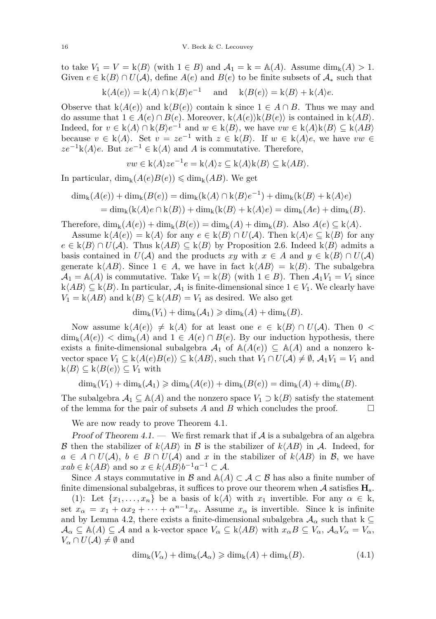to take  $V_1 = V = k \langle B \rangle$  (with  $1 \in B$ ) and  $\mathcal{A}_1 = k = \mathbb{A}(A)$ . Assume dim<sub>k</sub> $(A) > 1$ . Given  $e \in k\langle B\rangle \cap U(\mathcal{A})$ , define  $A(e)$  and  $B(e)$  to be finite subsets of  $\mathcal{A}_*$  such that

$$
k\langle A(e)\rangle = k\langle A\rangle \cap k\langle B\rangle e^{-1}
$$
 and  $k\langle B(e)\rangle = k\langle B\rangle + k\langle A\rangle e$ .

Observe that  $k\langle A(e) \rangle$  and  $k\langle B(e) \rangle$  contain k since  $1 \in A \cap B$ . Thus we may and do assume that  $1 \in A(e) \cap B(e)$ . Moreover,  $k\langle A(e) \rangle k\langle B(e) \rangle$  is contained in  $k\langle AB \rangle$ . Indeed, for *v* ∈ k $\langle A \rangle$  ∩ k $\langle B \rangle e^{-1}$  and *w* ∈ k $\langle B \rangle$ , we have *vw* ∈ k $\langle A \rangle$ k $\langle B \rangle$  ⊆ k $\langle AB \rangle$ because  $v \in k\langle A \rangle$ . Set  $v = ze^{-1}$  with  $z \in k\langle B \rangle$ . If  $w \in k\langle A \rangle e$ , we have  $vw \in k\langle A \rangle e$  $ze^{-1}k\langle A\rangle e$ . But  $ze^{-1} \in k\langle A\rangle$  and *A* is commutative. Therefore,

$$
vw \in k\langle A \rangle ze^{-1}e = k\langle A \rangle z \subseteq k\langle A \rangle k\langle B \rangle \subseteq k\langle AB \rangle.
$$

In particular,  $\dim_k(A(e)B(e)) \leq \dim_k(AB)$ . We get

$$
\dim_{k}(A(e)) + \dim_{k}(B(e)) = \dim_{k}(k\langle A\rangle \cap k\langle B\rangle e^{-1}) + \dim_{k}(k\langle B\rangle + k\langle A\rangle e)
$$
  
= 
$$
\dim_{k}(k\langle A\rangle e \cap k\langle B\rangle) + \dim_{k}(k\langle B\rangle + k\langle A\rangle e) = \dim_{k}(Ae) + \dim_{k}(B).
$$

Therefore,  $\dim_k(A(e)) + \dim_k(B(e)) = \dim_k(A) + \dim_k(B)$ . Also  $A(e) \subseteq k\langle A \rangle$ .

Assume  $k\langle A(e)\rangle = k\langle A\rangle$  for any  $e \in k\langle B\rangle \cap U(\mathcal{A})$ . Then  $k\langle A\rangle e \subseteq k\langle B\rangle$  for any *e* ∈ k $\langle B \rangle$  ∩ *U*(*A*). Thus k $\langle AB \rangle$  ⊆ k $\langle B \rangle$  by Proposition [2.6.](#page-6-0) Indeed k $\langle B \rangle$  admits a basis contained in  $U(A)$  and the products *xy* with  $x \in A$  and  $y \in k\langle B \rangle \cap U(A)$ generate k $\langle AB \rangle$ . Since  $1 \in A$ , we have in fact k $\langle AB \rangle = k \langle B \rangle$ . The subalgebra  $\mathcal{A}_1 = \mathbb{A}(A)$  is commutative. Take  $V_1 = \mathsf{k}\langle B \rangle$  (with  $1 \in B$ ). Then  $\mathcal{A}_1 V_1 = V_1$  since  $k\langle AB \rangle \subseteq k\langle B \rangle$ . In particular,  $A_1$  is finite-dimensional since  $1 \in V_1$ . We clearly have  $V_1 = k\langle AB \rangle$  and  $k\langle B \rangle \subseteq k\langle AB \rangle = V_1$  as desired. We also get

$$
\dim_{k}(V_{1}) + \dim_{k}(\mathcal{A}_{1}) \geqslant \dim_{k}(A) + \dim_{k}(B).
$$

Now assume  $k\langle A(e)\rangle \neq k\langle A\rangle$  for at least one  $e \in k\langle B\rangle \cap U(\mathcal{A})$ . Then  $0 <$  $\dim_k(A(e)) < \dim_k(A)$  and  $1 \in A(e) \cap B(e)$ . By our induction hypothesis, there exists a finite-dimensional subalgebra  $A_1$  of  $\mathbb{A}(A(e)) \subseteq \mathbb{A}(A)$  and a nonzero kvector space  $V_1 \subseteq k\langle A(e)B(e) \rangle \subseteq k\langle AB \rangle$ , such that  $V_1 \cap U(A) \neq \emptyset$ ,  $\mathcal{A}_1V_1 = V_1$  and  $k\langle B\rangle \subseteq k\langle B(e)\rangle \subseteq V_1$  with

 $\dim_k(V_1) + \dim_k(A_1) \geq \dim_k(A(e)) + \dim_k(B(e)) = \dim_k(A) + \dim_k(B)$ .

The subalgebra  $A_1 \subseteq A(A)$  and the nonzero space  $V_1 \supset k\langle B \rangle$  satisfy the statement of the lemma for the pair of subsets  $A$  and  $B$  which concludes the proof.  $\Box$ 

We are now ready to prove Theorem [4.1.](#page-13-0)

Proof of Theorem [4.1.](#page-13-0) — We first remark that if  $A$  is a subalgebra of an algebra B then the stabilizer of  $k\langle AB \rangle$  in B is the stabilizer of  $k\langle AB \rangle$  in A. Indeed, for  $a \in A \cap U(\mathcal{A}), b \in B \cap U(\mathcal{A})$  and *x* in the stabilizer of  $k\langle AB \rangle$  in B, we have  $xab \in k\langle AB \rangle$  and so  $x \in k\langle AB \rangle b^{-1}a^{-1} \subset \mathcal{A}$ .

Since *A* stays commutative in B and  $\mathbb{A}(A) \subset \mathcal{A} \subset \mathcal{B}$  has also a finite number of finite dimensional subalgebras, it suffices to prove our theorem when  $\mathcal A$  satisfies  $\mathbf H_{\rm s}$ .

(1): Let  $\{x_1, \ldots, x_n\}$  be a basis of k $\langle A \rangle$  with  $x_1$  invertible. For any  $\alpha \in k$ , set  $x_{\alpha} = x_1 + \alpha x_2 + \cdots + \alpha^{n-1} x_n$ . Assume  $x_{\alpha}$  is invertible. Since k is infinite and by Lemma [4.2,](#page-13-1) there exists a finite-dimensional subalgebra  $A_{\alpha}$  such that k  $\subseteq$  $\mathcal{A}_{\alpha} \subseteq \mathbb{A}(A) \subseteq \mathcal{A}$  and a k-vector space  $V_{\alpha} \subseteq \mathbb{R} \langle AB \rangle$  with  $x_{\alpha}B \subseteq V_{\alpha}, \mathcal{A}_{\alpha}V_{\alpha} = V_{\alpha},$  $V_\alpha \cap U(\mathcal{A}) \neq \emptyset$  and

<span id="page-14-0"></span>
$$
\dim_{k}(V_{\alpha}) + \dim_{k}(\mathcal{A}_{\alpha}) \geq \dim_{k}(A) + \dim_{k}(B). \tag{4.1}
$$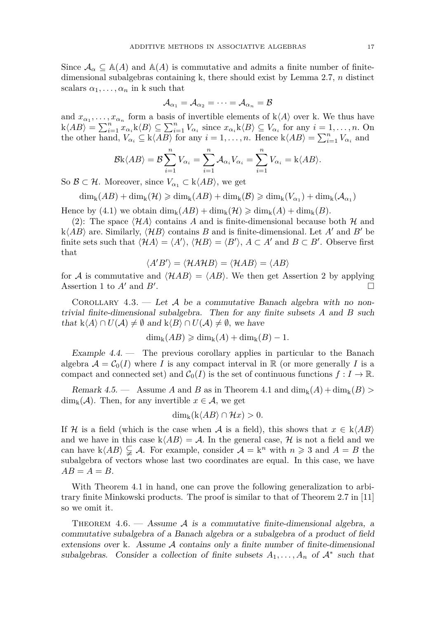Since  $\mathcal{A}_{\alpha} \subseteq \mathbb{A}(A)$  and  $\mathbb{A}(A)$  is commutative and admits a finite number of finitedimensional subalgebras containing k*,* there should exist by Lemma [2.7,](#page-6-1) *n* distinct scalars  $\alpha_1, \ldots, \alpha_n$  in k such that

$$
\mathcal{A}_{\alpha_1}=\mathcal{A}_{\alpha_2}=\cdots=\mathcal{A}_{\alpha_n}=\mathcal{B}
$$

and  $x_{\alpha_1}, \ldots, x_{\alpha_n}$  form a basis of invertible elements of  $k\langle A \rangle$  over k. We thus have  $k\langle AB\rangle = \sum_{i=1}^n x_{\alpha_i} k\langle B\rangle \subseteq \sum_{i=1}^n V_{\alpha_i}$  since  $x_{\alpha_i} k\langle B\rangle \subseteq V_{\alpha_i}$  for any  $i = 1, ..., n$ . On the other hand,  $V_{\alpha_i} \subseteq k \langle AB \rangle$  for any  $i = 1, \ldots, n$ . Hence  $k \langle AB \rangle = \sum_{i=1}^n V_{\alpha_i}$  and

$$
\mathcal{B}k\langle AB\rangle = \mathcal{B}\sum_{i=1}^n V_{\alpha_i} = \sum_{i=1}^n \mathcal{A}_{\alpha_i}V_{\alpha_i} = \sum_{i=1}^n V_{\alpha_i} = k\langle AB\rangle.
$$

So  $\mathcal{B} \subset \mathcal{H}$ . Moreover, since  $V_{\alpha_1} \subset k\langle AB \rangle$ , we get

$$
\dim_{k}(AB) + \dim_{k}(\mathcal{H}) \geqslant \dim_{k}(AB) + \dim_{k}(\mathcal{B}) \geqslant \dim_{k}(V_{\alpha_{1}}) + \dim_{k}(\mathcal{A}_{\alpha_{1}})
$$

Hence by [\(4.1\)](#page-14-0) we obtain  $\dim_k(AB) + \dim_k(\mathcal{H}) \geqslant \dim_k(A) + \dim_k(B)$ .

(2): The space  $\langle \mathcal{H}A \rangle$  contains A and is finite-dimensional because both  $\mathcal{H}$  and  $k\langle AB\rangle$  are. Similarly,  $\langle HB\rangle$  contains *B* and is finite-dimensional. Let *A'* and *B'* be finite sets such that  $\langle HA \rangle = \langle A' \rangle$ ,  $\langle HB \rangle = \langle B' \rangle$ ,  $A \subset A'$  and  $B \subset B'$ . Observe first that

$$
\langle A'B' \rangle = \langle \mathcal{H}A \mathcal{H}B \rangle = \langle \mathcal{H}AB \rangle = \langle AB \rangle
$$

for A is commutative and  $\langle HAB \rangle = \langle AB \rangle$ . We then get Assertion 2 by applying Assertion 1 to  $A'$  and  $B'$ . .

<span id="page-15-0"></span>COROLLARY 4.3. — Let A be a commutative Banach algebra with no nontrivial finite-dimensional subalgebra. Then for any finite subsets *A* and *B* such that k $\langle A \rangle$  ∩  $U(A) \neq \emptyset$  and k $\langle B \rangle$  ∩  $U(A) \neq \emptyset$ , we have

$$
\dim_{k}(AB) \geqslant \dim_{k}(A) + \dim_{k}(B) - 1.
$$

Example 4.4. — The previous corollary applies in particular to the Banach algebra  $A = C_0(I)$  where *I* is any compact interval in R (or more generally *I* is a compact and connected set) and  $C_0(I)$  is the set of continuous functions  $f: I \to \mathbb{R}$ .

Remark 4.5. — Assume *A* and *B* as in Theorem [4.1](#page-13-0) and  $\dim_k(A) + \dim_k(B)$  $\dim_{\mathbf{k}}(\mathcal{A})$ . Then, for any invertible  $x \in \mathcal{A}$ , we get

$$
\dim_{\mathbf{k}}(\mathbf{k}\langle AB\rangle \cap \mathcal{H}x)>0.
$$

If H is a field (which is the case when A is a field), this shows that  $x \in k\langle AB \rangle$ and we have in this case  $k\langle AB \rangle = \mathcal{A}$ . In the general case,  $\mathcal{H}$  is not a field and we can have  $k\langle AB \rangle \subsetneq A$ . For example, consider  $A = k^n$  with  $n \geq 3$  and  $A = B$  the subalgebra of vectors whose last two coordinates are equal. In this case, we have  $AB = A = B$ .

With Theorem [4.1](#page-13-0) in hand, one can prove the following generalization to arbitrary finite Minkowski products. The proof is similar to that of Theorem 2.7 in [\[11\]](#page-24-10) so we omit it.

<span id="page-15-1"></span>THEOREM  $4.6.$  — Assume A is a commutative finite-dimensional algebra, a commutative subalgebra of a Banach algebra or a subalgebra of a product of field extensions over k. Assume  $A$  contains only a finite number of finite-dimensional subalgebras. Consider a collection of finite subsets  $A_1, \ldots, A_n$  of  $\mathcal{A}^*$  such that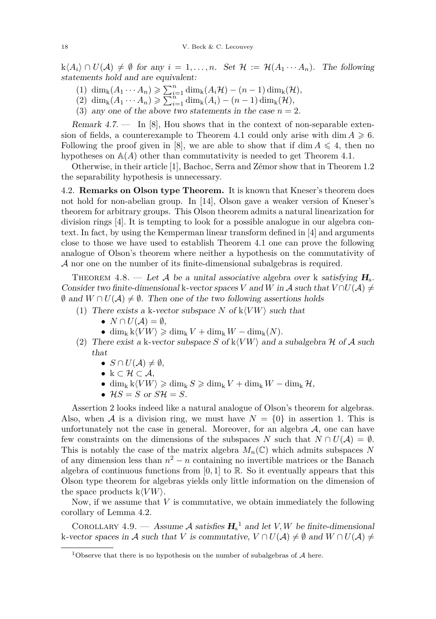$k\langle A_i \rangle \cap U(\mathcal{A}) \neq \emptyset$  for any  $i = 1, \ldots, n$ . Set  $\mathcal{H} := \mathcal{H}(A_1 \cdots A_n)$ . The following statements hold and are equivalent:

- (1) dim<sub>k</sub>( $A_1 \cdots A_n$ ) ≥  $\sum_{i=1}^n \dim_k(A_i \mathcal{H}) (n-1) \dim_k(\mathcal{H}),$
- $(2)$  dim<sub>k</sub> $(A_1 \cdots A_n) \geqslant \sum_{i=1}^{n-1} \dim_k(A_i) (n-1) \dim_k(\mathcal{H}),$
- (3) any one of the above two statements in the case  $n = 2$ .

Remark 4.7. — In [\[8\]](#page-24-8), Hou shows that in the context of non-separable exten-sion of fields, a counterexample to Theorem [4.1](#page-13-0) could only arise with dim  $A \geq 6$ . Following the proof given in [\[8\]](#page-24-8), we are able to show that if dim  $A \leq 4$ , then no hypotheses on  $\mathbb{A}(A)$  other than commutativity is needed to get Theorem [4.1.](#page-13-0)

Otherwise, in their article [\[1\]](#page-24-14), Bachoc, Serra and Zémor show that in Theorem [1.2](#page-2-1) the separability hypothesis is unnecessary.

4.2. **Remarks on Olson type Theorem.** It is known that Kneser's theorem does not hold for non-abelian group. In [\[14\]](#page-24-3), Olson gave a weaker version of Kneser's theorem for arbitrary groups. This Olson theorem admits a natural linearization for division rings [\[4\]](#page-24-9). It is tempting to look for a possible analogue in our algebra context. In fact, by using the Kemperman linear transform defined in [\[4\]](#page-24-9) and arguments close to those we have used to establish Theorem [4.1](#page-13-0) one can prove the following analogue of Olson's theorem where neither a hypothesis on the commutativity of A nor one on the number of its finite-dimensional subalgebras is required.

THEOREM 4.8. — Let A be a unital associative algebra over k satisfying  $H_s$ . Consider two finite-dimensional k-vector spaces *V* and *W* in A such that  $V \cap U(A) \neq$  $\emptyset$  and  $W \cap U(\mathcal{A}) \neq \emptyset$ . Then one of the two following assertions holds

- (1) There exists a k-vector subspace *N* of  $k\langle VW \rangle$  such that
	- $N \cap U(A) = \emptyset$ ,
	- dim<sub>k</sub>  $k\langle VW \rangle \geqslant \dim_k V + \dim_k W \dim_k(N)$ .
- (2) There exist a k-vector subspace *S* of  $k\langle VW \rangle$  and a subalgebra H of A such that
	- $S \cap U(A) \neq \emptyset$ ,
	- k ⊂ H ⊂ A*,*
	- dim<sub>k</sub>  $k\langle VW \rangle \geqslant \dim_k S \geqslant \dim_k V + \dim_k W \dim_k \mathcal{H}$ ,
	- $\mathcal{H}S = S$  or  $S\mathcal{H} = S$ .

Assertion 2 looks indeed like a natural analogue of Olson's theorem for algebras. Also, when A is a division ring, we must have  $N = \{0\}$  in assertion 1. This is unfortunately not the case in general. Moreover, for an algebra  $A$ , one can have few constraints on the dimensions of the subspaces *N* such that  $N \cap U(\mathcal{A}) = \emptyset$ . This is notably the case of the matrix algebra  $M_n(\mathbb{C})$  which admits subspaces N of any dimension less than  $n^2 - n$  containing no invertible matrices or the Banach algebra of continuous functions from  $[0,1]$  to R. So it eventually appears that this Olson type theorem for algebras yields only little information on the dimension of the space products  $k\langle VW \rangle$ .

Now, if we assume that *V* is commutative, we obtain immediately the following corollary of Lemma [4.2.](#page-13-1)

<span id="page-16-0"></span>COROLLARY 4.9. — Assume A satisfies  $H_s^1$  and let *V*, *W* be finite-dimensional k-vector spaces in A such that *V* is commutative,  $V \cap U(\mathcal{A}) \neq \emptyset$  and  $W \cap U(\mathcal{A}) \neq \emptyset$ 

<sup>&</sup>lt;sup>1</sup>Observe that there is no hypothesis on the number of subalgebras of  $A$  here.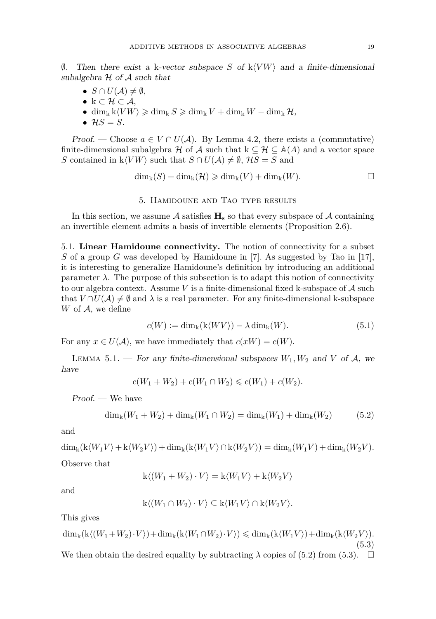$\emptyset$ . Then there exist a k-vector subspace *S* of k $\langle VW \rangle$  and a finite-dimensional subalgebra  $H$  of  $A$  such that

- $S \cap U(\mathcal{A}) \neq \emptyset$ ,
- k ⊂ H ⊂ A*,*
- dim<sub>k</sub>  $k\langle VW \rangle \geqslant \dim_k S \geqslant \dim_k V + \dim_k W \dim_k \mathcal{H}$ ,
- $\mathcal{H}S = S$ .

Proof. — Choose  $a \in V \cap U(\mathcal{A})$ . By Lemma [4.2,](#page-13-1) there exists a (commutative) finite-dimensional subalgebra H of A such that  $k \subseteq H \subseteq A(A)$  and a vector space *S* contained in  $k\langle VW \rangle$  such that  $S \cap U(\mathcal{A}) \neq \emptyset$ ,  $\mathcal{H}S = S$  and

$$
\dim_{k}(S) + \dim_{k}(\mathcal{H}) \geq \dim_{k}(V) + \dim_{k}(W).
$$

#### 5. Hamidoune and Tao type results

<span id="page-17-0"></span>In this section, we assume  $\mathcal A$  satisfies  $\mathbf H_s$  so that every subspace of  $\mathcal A$  containing an invertible element admits a basis of invertible elements (Proposition [2.6\)](#page-6-0).

5.1. **Linear Hamidoune connectivity.** The notion of connectivity for a subset *S* of a group *G* was developed by Hamidoune in [\[7\]](#page-24-15). As suggested by Tao in [\[17\]](#page-24-4), it is interesting to generalize Hamidoune's definition by introducing an additional parameter  $\lambda$ . The purpose of this subsection is to adapt this notion of connectivity to our algebra context. Assume *V* is a finite-dimensional fixed k-subspace of A such that  $V \cap U(\mathcal{A}) \neq \emptyset$  and  $\lambda$  is a real parameter. For any finite-dimensional k-subspace *W* of  $A$ , we define

$$
c(W) := \dim_{k}(k\langle WV \rangle) - \lambda \dim_{k}(W). \tag{5.1}
$$

For any  $x \in U(\mathcal{A})$ , we have immediately that  $c(xW) = c(W)$ .

LEMMA 5.1. — For any finite-dimensional subspaces  $W_1, W_2$  and  $V$  of  $A$ , we have

$$
c(W_1 + W_2) + c(W_1 \cap W_2) \leqslant c(W_1) + c(W_2).
$$

Proof. — We have

<span id="page-17-1"></span>
$$
\dim_{k}(W_{1} + W_{2}) + \dim_{k}(W_{1} \cap W_{2}) = \dim_{k}(W_{1}) + \dim_{k}(W_{2})
$$
\n(5.2)

and

$$
\dim_{k}(k \langle W_{1} V\rangle + k \langle W_{2} V\rangle) + \dim_{k}(k \langle W_{1} V\rangle \cap k \langle W_{2} V\rangle) = \dim_{k}(W_{1} V) + \dim_{k}(W_{2} V).
$$

Observe that

$$
k\langle (W_1 + W_2) \cdot V \rangle = k\langle W_1 V \rangle + k\langle W_2 V \rangle
$$

and

$$
k\langle (W_1 \cap W_2) \cdot V \rangle \subseteq k\langle W_1 V \rangle \cap k\langle W_2 V \rangle.
$$

This gives

<span id="page-17-2"></span> $\dim_k(k\langle W_1+W_2)\cdot V\rangle)+\dim_k(k\langle W_1\cap W_2)\cdot V\rangle)\leq \dim_k(k\langle W_1V\rangle)+\dim_k(k\langle W_2V\rangle).$ (5.3) We then obtain the desired equality by subtracting  $\lambda$  copies of [\(5.2\)](#page-17-1) from [\(5.3\)](#page-17-2).  $\Box$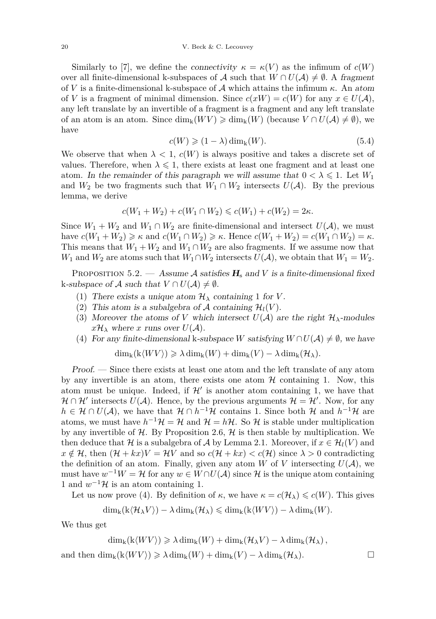Similarly to [\[7\]](#page-24-15), we define the connectivity  $\kappa = \kappa(V)$  as the infimum of  $c(W)$ over all finite-dimensional k-subspaces of A such that  $W \cap U(\mathcal{A}) \neq \emptyset$ . A fragment of *V* is a finite-dimensional k-subspace of A which attains the infimum *κ*. An atom of *V* is a fragment of minimal dimension. Since  $c(xW) = c(W)$  for any  $x \in U(\mathcal{A}),$ any left translate by an invertible of a fragment is a fragment and any left translate of an atom is an atom. Since  $\dim_k(WV) \geq \dim_k(W)$  (because  $V \cap U(\mathcal{A}) \neq \emptyset$ ), we have

<span id="page-18-0"></span>
$$
c(W) \geqslant (1 - \lambda) \dim_{k}(W). \tag{5.4}
$$

We observe that when  $\lambda < 1$ ,  $c(W)$  is always positive and takes a discrete set of values. Therefore, when  $\lambda \leq 1$ , there exists at least one fragment and at least one atom. In the remainder of this paragraph we will assume that  $0 < \lambda \leq 1$ . Let  $W_1$ and  $W_2$  be two fragments such that  $W_1 \cap W_2$  intersects  $U(\mathcal{A})$ . By the previous lemma, we derive

$$
c(W_1 + W_2) + c(W_1 \cap W_2) \leq c(W_1) + c(W_2) = 2\kappa.
$$

Since  $W_1 + W_2$  and  $W_1 \cap W_2$  are finite-dimensional and intersect  $U(\mathcal{A})$ , we must  $h$ ave  $c(W_1 + W_2) \geq \kappa$  and  $c(W_1 \cap W_2) \geq \kappa$ . Hence  $c(W_1 + W_2) = c(W_1 \cap W_2) = \kappa$ . This means that  $W_1 + W_2$  and  $W_1 \cap W_2$  are also fragments. If we assume now that *W*<sub>1</sub> and *W*<sub>2</sub> are atoms such that  $W_1 \cap W_2$  intersects  $U(\mathcal{A})$ , we obtain that  $W_1 = W_2$ .

<span id="page-18-1"></span>PROPOSITION 5.2. — Assume A satisfies  $H_s$  and *V* is a finite-dimensional fixed k-subspace of A such that  $V \cap U(\mathcal{A}) \neq \emptyset$ .

- (1) There exists a unique atom  $\mathcal{H}_{\lambda}$  containing 1 for *V*.
- (2) This atom is a subalgebra of A containing  $\mathcal{H}_l(V)$ .
- (3) Moreover the atoms of *V* which intersect  $U(\mathcal{A})$  are the right  $\mathcal{H}_{\lambda}$ -modules  $x\mathcal{H}_{\lambda}$  where *x* runs over  $U(\mathcal{A})$ .
- (4) For any finite-dimensional k-subspace *W* satisfying  $W \cap U(\mathcal{A}) \neq \emptyset$ , we have

$$
\dim_{k}(k\langle WV\rangle) \geq \lambda \dim_{k}(W) + \dim_{k}(V) - \lambda \dim_{k}(\mathcal{H}_{\lambda}).
$$

Proof. — Since there exists at least one atom and the left translate of any atom by any invertible is an atom, there exists one atom  $H$  containing 1. Now, this atom must be unique. Indeed, if  $\mathcal{H}'$  is another atom containing 1, we have that  $\mathcal{H} \cap \mathcal{H}'$  intersects  $U(\mathcal{A})$ . Hence, by the previous arguments  $\mathcal{H} = \mathcal{H}'$ . Now, for any  $h \in \mathcal{H} \cap U(\mathcal{A})$ , we have that  $\mathcal{H} \cap h^{-1}\mathcal{H}$  contains 1. Since both  $\mathcal{H}$  and  $h^{-1}\mathcal{H}$  are atoms, we must have  $h^{-1}H = H$  and  $H = hH$ . So H is stable under multiplication by any invertible of  $H$ . By Proposition [2.6,](#page-6-0)  $H$  is then stable by multiplication. We then deduce that H is a subalgebra of A by Lemma [2.1.](#page-4-0) Moreover, if  $x \in H_l(V)$  and  $x \notin \mathcal{H}$ , then  $(\mathcal{H} + kx)V = \mathcal{H}V$  and so  $c(\mathcal{H} + kx) < c(\mathcal{H})$  since  $\lambda > 0$  contradicting the definition of an atom. Finally, given any atom *W* of *V* intersecting  $U(\mathcal{A})$ , we must have  $w^{-1}W = H$  for any  $w \in W \cap U(A)$  since H is the unique atom containing 1 and  $w^{-1}$ H is an atom containing 1.

Let us now prove (4). By definition of  $\kappa$ , we have  $\kappa = c(\mathcal{H}_{\lambda}) \leqslant c(W)$ . This gives

$$
\dim_{k}(k\langle\mathcal{H}_{\lambda}V\rangle) - \lambda \dim_{k}(\mathcal{H}_{\lambda}) \leqslant \dim_{k}(k\langle WV\rangle) - \lambda \dim_{k}(W).
$$

We thus get

$$
\dim_{k}(k\langle WV\rangle) \geq \lambda \dim_{k}(W) + \dim_{k}(\mathcal{H}_{\lambda}V) - \lambda \dim_{k}(\mathcal{H}_{\lambda}),
$$
  
and then 
$$
\dim_{k}(k\langle WV\rangle) \geq \lambda \dim_{k}(W) + \dim_{k}(V) - \lambda \dim_{k}(\mathcal{H}_{\lambda}).
$$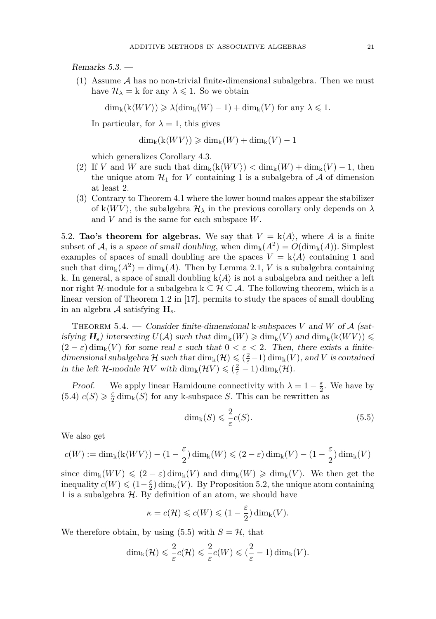Remarks 5.3. —

 $(1)$  Assume A has no non-trivial finite-dimensional subalgebra. Then we must have  $\mathcal{H}_{\lambda} = k$  for any  $\lambda \leq 1$ . So we obtain

 $\dim_k(k\langle WV\rangle) \geq \lambda(\dim_k(W) - 1) + \dim_k(V)$  for any  $\lambda \leq 1$ .

In particular, for  $\lambda = 1$ , this gives

$$
\dim_k(k\langle WV\rangle) \geq \dim_k(W) + \dim_k(V) - 1
$$

which generalizes Corollary [4.3.](#page-15-0)

- (2) If *V* and *W* are such that  $\dim_k(k\langle WV\rangle) < \dim_k(W) + \dim_k(V) 1$ , then the unique atom  $\mathcal{H}_1$  for *V* containing 1 is a subalgebra of  $\mathcal A$  of dimension at least 2.
- (3) Contrary to Theorem [4.1](#page-13-0) where the lower bound makes appear the stabilizer of k $\langle WV \rangle$ , the subalgebra  $\mathcal{H}_{\lambda}$  in the previous corollary only depends on  $\lambda$ and *V* and is the same for each subspace *W*.

5.2. **Tao's theorem for algebras.** We say that  $V = k \langle A \rangle$ , where A is a finite subset of A, is a space of small doubling, when  $\dim_k(A^2) = O(\dim_k(A))$ . Simplest examples of spaces of small doubling are the spaces  $V = k \langle A \rangle$  containing 1 and such that  $\dim_k(A^2) = \dim_k(A)$ . Then by Lemma [2.1,](#page-4-0) *V* is a subalgebra containing k. In general, a space of small doubling  $k\langle A \rangle$  is not a subalgebra and neither a left nor right H-module for a subalgebra  $k \subseteq H \subseteq A$ . The following theorem, which is a linear version of Theorem 1.2 in [\[17\]](#page-24-4), permits to study the spaces of small doubling in an algebra A satisfying **H**s.

<span id="page-19-1"></span>THEOREM 5.4. — Consider finite-dimensional k-subspaces *V* and *W* of  $A$  (satisfying  $H_s$ ) intersecting  $U(\mathcal{A})$  such that  $\dim_k(W) \geqslant \dim_k(V)$  and  $\dim_k(k\langle WV \rangle) \leqslant$  $(2 - \varepsilon)$  dim<sub>k</sub> $(V)$  for some real  $\varepsilon$  such that  $0 < \varepsilon < 2$ . Then, there exists a finitedimensional subalgebra  $H$  such that  $\dim_k(H) \leq (\frac{2}{\varepsilon} - 1) \dim_k(V)$ , and *V* is contained in the left  $\mathcal{H}\text{-module } \mathcal{H}V$  with  $\dim_k(\mathcal{H}V) \leqslant (\frac{2}{\varepsilon} - 1) \dim_k(\mathcal{H})$ .

*Proof.* — We apply linear Hamidoune connectivity with  $\lambda = 1 - \frac{\varepsilon}{2}$ . We have by [\(5.4\)](#page-18-0)  $c(S) \geq \frac{\varepsilon}{2} \dim_{\mathbf{k}}(S)$  for any k-subspace *S*. This can be rewritten as

<span id="page-19-0"></span>
$$
\dim_{k}(S) \leqslant \frac{2}{\varepsilon}c(S). \tag{5.5}
$$

We also get

$$
c(W):=\dim_{\mathbf{k}}(\mathbf{k}\langle WV\rangle)-(1-\frac{\varepsilon}{2})\dim_{\mathbf{k}}(W)\leqslant (2-\varepsilon)\dim_{\mathbf{k}}(V)-(1-\frac{\varepsilon}{2})\dim_{\mathbf{k}}(V)
$$

since  $\dim_k(WV) \leqslant (2 - \varepsilon) \dim_k(V)$  and  $\dim_k(W) \geqslant \dim_k(V)$ . We then get the inequality  $c(W) \leqslant (1-\frac{\varepsilon}{2}) \dim_{\mathbf{k}}(V)$ . By Proposition [5.2,](#page-18-1) the unique atom containing 1 is a subalgebra  $H$ . By definition of an atom, we should have

$$
\kappa = c(\mathcal{H}) \leqslant c(W) \leqslant (1 - \frac{\varepsilon}{2}) \dim_{\mathbf{k}}(V).
$$

We therefore obtain, by using [\(5.5\)](#page-19-0) with  $S = H$ , that

$$
\dim_{k}(\mathcal{H}) \leqslant \frac{2}{\varepsilon}c(\mathcal{H}) \leqslant \frac{2}{\varepsilon}c(W) \leqslant (\frac{2}{\varepsilon}-1)\dim_{k}(V).
$$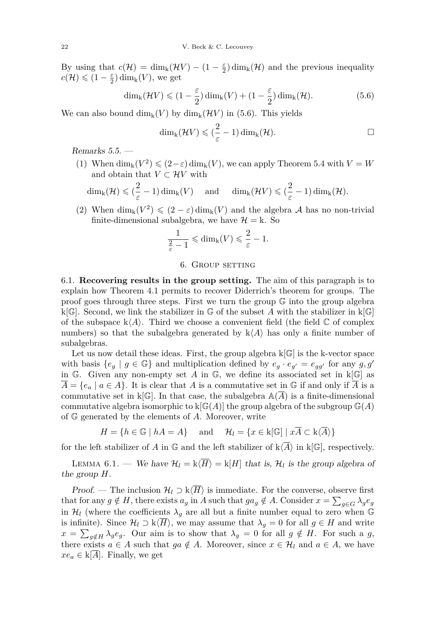By using that  $c(\mathcal{H}) = \dim_k(\mathcal{H}V) - (1 - \frac{\varepsilon}{2})\dim_k(\mathcal{H})$  and the previous inequality  $c(\mathcal{H}) \leqslant (1 - \frac{\varepsilon}{2}) \dim_{\mathbf{k}}(V)$ , we get

<span id="page-20-0"></span>
$$
\dim_{k}(\mathcal{H}V) \leqslant (1 - \frac{\varepsilon}{2}) \dim_{k}(V) + (1 - \frac{\varepsilon}{2}) \dim_{k}(\mathcal{H}). \tag{5.6}
$$

We can also bound  $\dim_k(V)$  by  $\dim_k(\mathcal{H}V)$  in [\(5.6\)](#page-20-0). This yields

$$
\dim_{k}(\mathcal{H}V)\leqslant(\frac{2}{\varepsilon}-1)\dim_{k}(\mathcal{H}).
$$

Remarks 5.5. —

(1) When  $\dim_k(V^2) \leqslant (2-\varepsilon) \dim_k(V)$ , we can apply Theorem [5.4](#page-19-1) with  $V = W$ and obtain that  $V \subset \mathcal{H}V$  with

$$
\dim_{k}(\mathcal{H}) \leqslant (\frac{2}{\varepsilon} - 1) \dim_{k}(V) \quad \text{ and } \quad \dim_{k}(\mathcal{H}V) \leqslant (\frac{2}{\varepsilon} - 1) \dim_{k}(\mathcal{H}).
$$

(2) When  $\dim_k(V^2) \leqslant (2 - \varepsilon) \dim_k(V)$  and the algebra A has no non-trivial finite-dimensional subalgebra, we have  $\mathcal{H} = k$ . So

$$
\frac{1}{\frac{2}{\varepsilon}-1} \leqslant \dim_{k}(V) \leqslant \frac{2}{\varepsilon}-1.
$$

#### 6. Group setting

6.1. **Recovering results in the group setting.** The aim of this paragraph is to explain how Theorem [4.1](#page-13-0) permits to recover Diderrich's theorem for groups. The proof goes through three steps. First we turn the group  $\mathbb G$  into the group algebra k[ $\mathbb{G}$ ]. Second, we link the stabilizer in  $\mathbb{G}$  of the subset A with the stabilizer in k[ $\mathbb{G}$ ] of the subspace  $k\langle A \rangle$ . Third we choose a convenient field (the field  $\mathbb C$  of complex numbers) so that the subalgebra generated by  $k\langle A \rangle$  has only a finite number of subalgebras.

Let us now detail these ideas. First, the group algebra  $k[\mathbb{G}]$  is the k-vector space with basis  $\{e_g \mid g \in \mathbb{G}\}\$  and multiplication defined by  $e_g \cdot e_{g'} = e_{gg'}$  for any  $g, g'$ in G. Given any non-empty set A in G, we define its associated set in  $k[G]$  as  $A = \{e_a \mid a \in A\}$ . It is clear that *A* is a commutative set in G if and only if *A* is a commutative set in  $k[\mathbb{G}]$ . In that case, the subalgebra  $\mathbb{A}(\overline{A})$  is a finite-dimensional commutative algebra isomorphic to  $k[\mathbb{G}(A)]$  the group algebra of the subgroup  $\mathbb{G}(A)$ of G generated by the elements of *A*. Moreover, write

$$
H = \{ h \in \mathbb{G} \mid hA = A \} \quad \text{and} \quad \mathcal{H}_l = \{ x \in k[\mathbb{G}] \mid x\overline{A} \subset k\langle \overline{A} \rangle \}
$$

for the left stabilizer of *A* in  $\mathbb{G}$  and the left stabilizer of  $k\langle\overline{A}\rangle$  in  $k\mathbb{G}$ , respectively.

<span id="page-20-1"></span>LEMMA 6.1. — We have  $\mathcal{H}_l = k\langle \overline{H} \rangle = k[H]$  that is,  $\mathcal{H}_l$  is the group algebra of the group *H*.

*Proof.* — The inclusion  $\mathcal{H}_l \supset k\langle \overline{H} \rangle$  is immediate. For the converse, observe first that for any  $g \notin H$ , there exists  $a_g$  in *A* such that  $ga_g \notin A$ . Consider  $x = \sum_{g \in G} \lambda_g e_g$ in  $\mathcal{H}_l$  (where the coefficients  $\lambda_g$  are all but a finite number equal to zero when  $\mathbb G$ is infinite). Since  $\mathcal{H}_l \supset k\langle H \rangle$ , we may assume that  $\lambda_g = 0$  for all  $g \in H$  and write  $x = \sum_{g \notin H} \lambda_g e_g$ . Our aim is to show that  $\lambda_g = 0$  for all  $g \notin H$ . For such a *g*, there exists  $a \in A$  such that  $ga \notin A$ . Moreover, since  $x \in \mathcal{H}_l$  and  $a \in A$ , we have  $xe_a \in k[A]$ . Finally, we get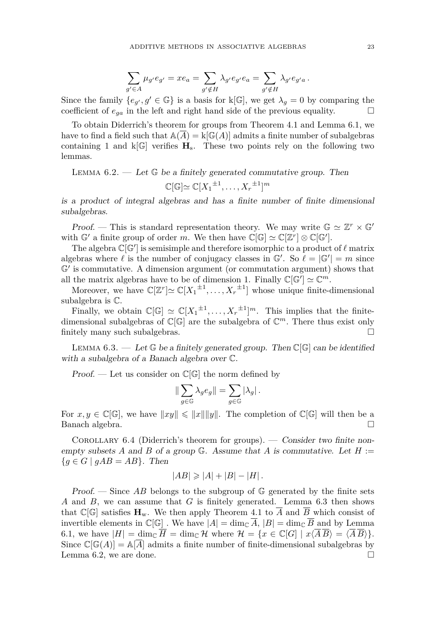$$
\sum_{g' \in A} \mu_{g'} e_{g'} = x e_a = \sum_{g' \notin H} \lambda_{g'} e_{g'} e_a = \sum_{g' \notin H} \lambda_{g'} e_{g'a}.
$$

Since the family  ${e_{g'}}, g' \in \mathbb{G}$  is a basis for k[ $\mathbb{G}$ ], we get  $\lambda_g = 0$  by comparing the coefficient of *ega* in the left and right hand side of the previous equality.

To obtain Diderrich's theorem for groups from Theorem [4.1](#page-13-0) and Lemma [6.1,](#page-20-1) we have to find a field such that  $\mathbb{A}(\overline{A}) = k[\mathbb{G}(A)]$  admits a finite number of subalgebras containing 1 and  $k[\mathbb{G}]$  verifies  $H_s$ . These two points rely on the following two lemmas.

<span id="page-21-1"></span>LEMMA  $6.2.$  — Let  $\mathbb{G}$  be a finitely generated commutative group. Then

$$
\mathbb{C}[\mathbb{G}] \simeq \mathbb{C}[X_1^{\pm 1}, \dots, X_r^{\pm 1}]^m
$$

is a product of integral algebras and has a finite number of finite dimensional subalgebras.

*Proof.* — This is standard representation theory. We may write  $\mathbb{G} \simeq \mathbb{Z}^r \times \mathbb{G}'$ with  $\mathbb{G}'$  a finite group of order *m*. We then have  $\mathbb{C}[\mathbb{G}] \simeq \mathbb{C}[\mathbb{Z}^r] \otimes \mathbb{C}[\mathbb{G}']$ .

The algebra  $\mathbb{C}[\mathbb{G}']$  is semisimple and therefore isomorphic to a product of  $\ell$  matrix algebras where  $\ell$  is the number of conjugacy classes in  $\mathbb{G}'$ . So  $\ell = |\mathbb{G}'| = m$  since  $\mathbb{G}'$  is commutative. A dimension argument (or commutation argument) shows that all the matrix algebras have to be of dimension 1. Finally  $\mathbb{C}[\mathbb{G}'] \simeq \mathbb{C}^m$ .

Moreover, we have  $\mathbb{C}[\mathbb{Z}^r] \simeq \mathbb{C}[X_1^{\pm 1}, \ldots, X_r^{\pm 1}]$  whose unique finite-dimensional subalgebra is C.

Finally, we obtain  $\mathbb{C}[\mathbb{G}] \simeq \mathbb{C}[X_1^{\pm 1}, \ldots, X_r^{\pm 1}]^m$ . This implies that the finitedimensional subalgebras of C[G] are the subalgebra of C *<sup>m</sup>*. There thus exist only finitely many such subalgebras.

<span id="page-21-0"></span>LEMMA 6.3. — Let  $\mathbb{G}$  be a finitely generated group. Then  $\mathbb{C}[\mathbb{G}]$  can be identified with a subalgebra of a Banach algebra over C.

Proof. — Let us consider on  $\mathbb{C}[\mathbb{G}]$  the norm defined by

$$
\|\sum_{g\in\mathbb{G}}\lambda_g e_g\| = \sum_{g\in\mathbb{G}} |\lambda_g|.
$$

For  $x, y \in \mathbb{C}[\mathbb{G}]$ , we have  $||xy|| \leq ||x|| ||y||$ . The completion of  $\mathbb{C}[\mathbb{G}]$  will then be a Banach algebra.

COROLLARY 6.4 (Diderrich's theorem for groups). — Consider two finite nonempty subsets A and B of a group  $\mathbb{G}$ . Assume that A is commutative. Let  $H :=$  ${g \in G \mid gAB = AB}.$  Then

$$
|AB| \geq |A| + |B| - |H|.
$$

Proof. — Since  $AB$  belongs to the subgroup of  $\mathbb{G}$  generated by the finite sets *A* and *B*, we can assume that *G* is finitely generated. Lemma [6.3](#page-21-0) then shows that  $\mathbb{C}[\mathbb{G}]$  satisfies  $\mathbf{H}_{w}$ . We then apply Theorem [4.1](#page-13-0) to  $\overline{A}$  and  $\overline{B}$  which consist of invertible elements in  $\mathbb{C}[\mathbb{G}]$ . We have  $|A| = \dim_{\mathbb{C}} \overline{A}$ ,  $|B| = \dim_{\mathbb{C}} \overline{B}$  and by Lemma [6.1,](#page-20-1) we have  $|H| = \dim_{\mathbb{C}} \overline{H} = \dim_{\mathbb{C}} \mathcal{H}$  where  $\mathcal{H} = \{x \in \mathbb{C}[G] \mid x\langle \overline{A}\overline{B}\rangle = \langle \overline{A}\overline{B}\rangle\}.$ Since  $\mathbb{C}[\mathbb{G}(A)] = \mathbb{A}[A]$  admits a finite number of finite-dimensional subalgebras by Lemma [6.2,](#page-21-1) we are done.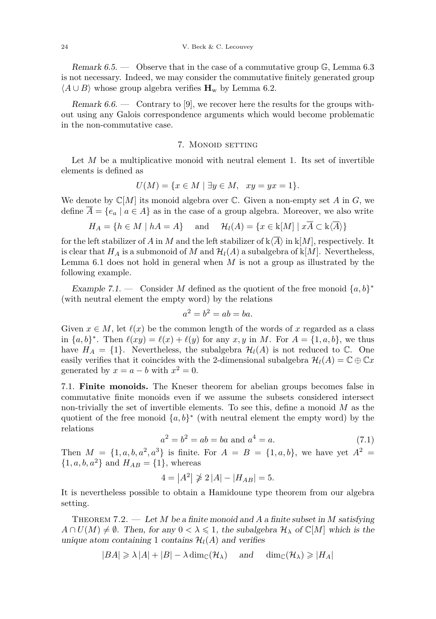Remark 6.5. — Observe that in the case of a commutative group  $\mathbb{G}$ , Lemma [6.3](#page-21-0) is not necessary. Indeed, we may consider the commutative finitely generated group  $\langle A \cup B \rangle$  whose group algebra verifies  $\mathbf{H}_{w}$  by Lemma [6.2.](#page-21-1)

Remark  $6.6.$  — Contrary to [\[9\]](#page-24-6), we recover here the results for the groups without using any Galois correspondence arguments which would become problematic in the non-commutative case.

#### 7. MONOID SETTING

Let *M* be a multiplicative monoid with neutral element 1. Its set of invertible elements is defined as

$$
U(M) = \{ x \in M \mid \exists y \in M, \ xy = yx = 1 \}.
$$

We denote by  $\mathbb{C}[M]$  its monoid algebra over  $\mathbb{C}$ . Given a non-empty set *A* in *G*, we define  $\overline{A} = \{e_a \mid a \in A\}$  as in the case of a group algebra. Moreover, we also write

$$
H_A = \{ h \in M \mid hA = A \} \quad \text{and} \quad \mathcal{H}_l(A) = \{ x \in k[M] \mid x\overline{A} \subset k\langle \overline{A} \rangle \}
$$

for the left stabilizer of *A* in *M* and the left stabilizer of  $k\langle A \rangle$  in  $k[M]$ , respectively. It is clear that  $H_A$  is a submonoid of M and  $\mathcal{H}_l(A)$  a subalgebra of  $k[M]$ . Nevertheless, Lemma [6.1](#page-20-1) does not hold in general when *M* is not a group as illustrated by the following example.

Example 7.1. — Consider *M* defined as the quotient of the free monoid  $\{a, b\}^*$ (with neutral element the empty word) by the relations

$$
a^2 = b^2 = ab = ba.
$$

Given  $x \in M$ , let  $\ell(x)$  be the common length of the words of x regarded as a class in  $\{a, b\}^*$ . Then  $\ell(xy) = \ell(x) + \ell(y)$  for any  $x, y$  in *M*. For  $A = \{1, a, b\}$ , we thus have  $H_A = \{1\}$ . Nevertheless, the subalgebra  $\mathcal{H}_l(A)$  is not reduced to  $\mathbb{C}$ . One easily verifies that it coincides with the 2-dimensional subalgebra  $\mathcal{H}_l(A) = \mathbb{C} \oplus \mathbb{C} x$ generated by  $x = a - b$  with  $x^2 = 0$ .

7.1. **Finite monoids.** The Kneser theorem for abelian groups becomes false in commutative finite monoids even if we assume the subsets considered intersect non-trivially the set of invertible elements. To see this, define a monoid *M* as the quotient of the free monoid  $\{a, b\}^*$  (with neutral element the empty word) by the relations

$$
a^2 = b^2 = ab = ba \text{ and } a^4 = a. \tag{7.1}
$$

Then  $M = \{1, a, b, a^2, a^3\}$  is finite. For  $A = B = \{1, a, b\}$ , we have yet  $A^2 =$  $\{1, a, b, a^2\}$  and  $H_{AB} = \{1\}$ , whereas

$$
4 = |A^2| \ngeq 2 |A| - |H_{AB}| = 5.
$$

It is nevertheless possible to obtain a Hamidoune type theorem from our algebra setting.

Theorem 7.2. — Let *M* be a finite monoid and *A* a finite subset in *M* satisfying  $A \cap U(M) \neq \emptyset$ . Then, for any  $0 < \lambda \leq 1$ , the subalgebra  $\mathcal{H}_{\lambda}$  of  $\mathbb{C}[M]$  which is the unique atom containing 1 contains  $\mathcal{H}_l(A)$  and verifies

$$
|BA| \ge \lambda |A| + |B| - \lambda \dim_{\mathbb{C}}(\mathcal{H}_{\lambda}) \quad \text{and} \quad \dim_{\mathbb{C}}(\mathcal{H}_{\lambda}) \ge |H_A|
$$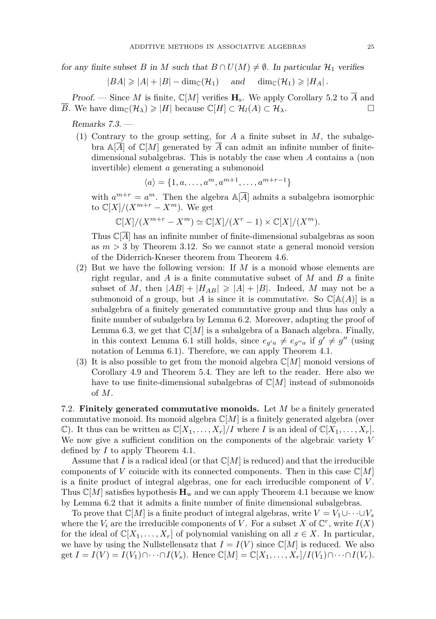for any finite subset *B* in *M* such that  $B \cap U(M) \neq \emptyset$ . In particular  $\mathcal{H}_1$  verifies

$$
|BA| \geq |A| + |B| - \dim_{\mathbb{C}}(\mathcal{H}_1) \quad \text{and} \quad \dim_{\mathbb{C}}(\mathcal{H}_1) \geq |H_A|.
$$

Proof. — Since *M* is finite,  $\mathbb{C}[M]$  verifies  $H_s$ . We apply Corollary [5.2](#page-18-1) to  $\overline{A}$  and *B*. We have dim $_{\mathbb{C}}(\mathcal{H}_{\lambda}) \geq |H|$  because  $\mathbb{C}[H] \subset \mathcal{H}_{\lambda}(\mathcal{A}) \subset \mathcal{H}_{\lambda}$ .

Remarks 7.3. —

(1) Contrary to the group setting, for  $A$  a finite subset in  $M$ , the subalgebra  $\mathbb{A}[\overline{A}]$  of  $\mathbb{C}[M]$  generated by  $\overline{A}$  can admit an infinite number of finitedimensional subalgebras. This is notably the case when *A* contains a (non invertible) element *a* generating a submonoid

$$
\langle a \rangle = \{1, a, \dots, a^m, a^{m+1}, \dots, a^{m+r-1}\}
$$

with  $a^{m+r} = a^m$ . Then the algebra  $\mathbb{A}[\overline{A}]$  admits a subalgebra isomorphic to  $\mathbb{C}[X]/(X^{m+r} - X^m)$ . We get

$$
\mathbb{C}[X]/(X^{m+r}-X^m)\simeq \mathbb{C}[X]/(X^r-1)\times \mathbb{C}[X]/(X^m).
$$

Thus  $\mathbb{C}[A]$  has an infinite number of finite-dimensional subalgebras as soon as  $m > 3$  by Theorem [3.12.](#page-11-0) So we cannot state a general monoid version of the Diderrich-Kneser theorem from Theorem [4.6.](#page-15-1)

- (2) But we have the following version: If *M* is a monoid whose elements are right regular, and *A* is a finite commutative subset of *M* and *B* a finite subset of M, then  $|AB| + |H_{AB}| \geq |A| + |B|$ . Indeed, M may not be a submonoid of a group, but *A* is since it is commutative. So  $\mathbb{C}[\mathbb{A}(A)]$  is a subalgebra of a finitely generated commutative group and thus has only a finite number of subalgebra by Lemma [6.2.](#page-21-1) Moreover, adapting the proof of Lemma [6.3,](#page-21-0) we get that  $\mathbb{C}[M]$  is a subalgebra of a Banach algebra. Finally, in this context Lemma [6.1](#page-20-1) still holds, since  $e_{g'a} \neq e_{g'a}$  if  $g' \neq g''$  (using notation of Lemma [6.1\)](#page-20-1). Therefore, we can apply Theorem [4.1.](#page-13-0)
- (3) It is also possible to get from the monoid algebra C[*M*] monoid versions of Corollary [4.9](#page-16-0) and Theorem [5.4.](#page-19-1) They are left to the reader. Here also we have to use finite-dimensional subalgebras of  $\mathbb{C}[M]$  instead of submonoids of *M*.

7.2. **Finitely generated commutative monoids.** Let *M* be a finitely generated commutative monoid. Its monoid algebra  $\mathbb{C}[M]$  is a finitely generated algebra (over  $\mathbb{C}$ ). It thus can be written as  $\mathbb{C}[X_1,\ldots,X_r]/I$  where *I* is an ideal of  $\mathbb{C}[X_1,\ldots,X_r]$ . We now give a sufficient condition on the components of the algebraic variety *V* defined by *I* to apply Theorem [4.1.](#page-13-0)

Assume that *I* is a radical ideal (or that  $\mathbb{C}[M]$  is reduced) and that the irreducible components of *V* coincide with its connected components. Then in this case  $\mathbb{C}[M]$ is a finite product of integral algebras, one for each irreducible component of *V* . Thus  $\mathbb{C}[M]$  satisfies hypothesis  $\mathbf{H}_w$  and we can apply Theorem [4.1](#page-13-0) because we know by Lemma [6.2](#page-21-1) that it admits a finite number of finite dimensional subalgebras.

To prove that  $\mathbb{C}[M]$  is a finite product of integral algebras, write  $V = V_1 \cup \cdots \cup V_s$ where the  $V_i$  are the irreducible components of V. For a subset X of  $\mathbb{C}^r$ , write  $I(X)$ for the ideal of  $\mathbb{C}[X_1,\ldots,X_r]$  of polynomial vanishing on all  $x \in X$ . In particular, we have by using the Nullstellensatz that  $I = I(V)$  since  $\mathbb{C}[M]$  is reduced. We also get  $I = I(V) = I(V_1) \cap \cdots \cap I(V_s)$ . Hence  $\mathbb{C}[M] = \mathbb{C}[X_1, \ldots, X_r]/I(V_1) \cap \cdots \cap I(V_r)$ .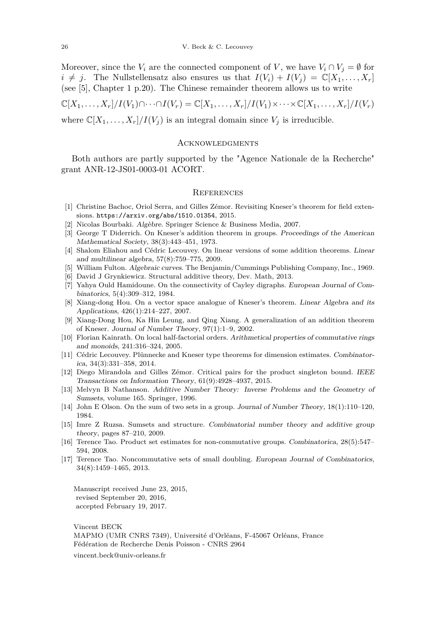Moreover, since the *V*<sub>*i*</sub> are the connected component of *V*, we have  $V_i \cap V_j = \emptyset$  for  $i \neq j$ . The Nullstellensatz also ensures us that  $I(V_i) + I(V_j) = \mathbb{C}[X_1, \ldots, X_r]$ (see [\[5\]](#page-24-16), Chapter 1 p.20). The Chinese remainder theorem allows us to write

$$
\mathbb{C}[X_1,\ldots,X_r]/I(V_1)\cap\cdots\cap I(V_r)=\mathbb{C}[X_1,\ldots,X_r]/I(V_1)\times\cdots\times\mathbb{C}[X_1,\ldots,X_r]/I(V_r)
$$

where  $\mathbb{C}[X_1,\ldots,X_r]/I(V_j)$  is an integral domain since  $V_j$  is irreducible.

#### **ACKNOWLEDGMENTS**

Both authors are partly supported by the "Agence Nationale de la Recherche" grant ANR-12-JS01-0003-01 ACORT.

#### **REFERENCES**

- <span id="page-24-14"></span>[1] Christine Bachoc, Oriol Serra, and Gilles Zémor. Revisiting Kneser's theorem for field extensions. <https://arxiv.org/abs/1510.01354>, 2015.
- <span id="page-24-13"></span>[2] Nicolas Bourbaki. Algèbre. Springer Science & Business Media, 2007.
- <span id="page-24-2"></span>[3] George T Diderrich. On Kneser's addition theorem in groups. Proceedings of the American Mathematical Society, 38(3):443–451, 1973.
- <span id="page-24-9"></span>[4] Shalom Eliahou and Cédric Lecouvey. On linear versions of some addition theorems. Linear and multilinear algebra, 57(8):759–775, 2009.
- <span id="page-24-16"></span>[5] William Fulton. Algebraic curves. The Benjamin/Cummings Publishing Company, Inc., 1969.
- <span id="page-24-0"></span>[6] David J Grynkiewicz. Structural additive theory, Dev. Math, 2013.
- <span id="page-24-15"></span>[7] Yahya Ould Hamidoune. On the connectivity of Cayley digraphs. European Journal of Combinatorics, 5(4):309–312, 1984.
- <span id="page-24-8"></span>[8] Xiang-dong Hou. On a vector space analogue of Kneser's theorem. Linear Algebra and its Applications, 426(1):214–227, 2007.
- <span id="page-24-6"></span>[9] Xiang-Dong Hou, Ka Hin Leung, and Qing Xiang. A generalization of an addition theorem of Kneser. Journal of Number Theory, 97(1):1–9, 2002.
- <span id="page-24-7"></span>[10] Florian Kainrath. On local half-factorial orders. Arithmetical properties of commutative rings and monoids, 241:316–324, 2005.
- <span id="page-24-10"></span>[11] Cédric Lecouvey. Plünnecke and Kneser type theorems for dimension estimates. Combinatorica, 34(3):331–358, 2014.
- <span id="page-24-12"></span>[12] Diego Mirandola and Gilles Zémor. Critical pairs for the product singleton bound. IEEE Transactions on Information Theory, 61(9):4928–4937, 2015.
- <span id="page-24-1"></span>[13] Melvyn B Nathanson. Additive Number Theory: Inverse Problems and the Geometry of Sumsets, volume 165. Springer, 1996.
- <span id="page-24-3"></span>[14] John E Olson. On the sum of two sets in a group. Journal of Number Theory, 18(1):110–120, 1984.
- <span id="page-24-11"></span>[15] Imre Z Ruzsa. Sumsets and structure. Combinatorial number theory and additive group theory, pages 87–210, 2009.
- <span id="page-24-5"></span>[16] Terence Tao. Product set estimates for non-commutative groups. Combinatorica, 28(5):547– 594, 2008.
- <span id="page-24-4"></span>[17] Terence Tao. Noncommutative sets of small doubling. European Journal of Combinatorics, 34(8):1459–1465, 2013.

Manuscript received June 23, 2015, revised September 20, 2016, accepted February 19, 2017.

Vincent BECK MAPMO (UMR CNRS 7349), Université d'Orléans, F-45067 Orléans, France Fédération de Recherche Denis Poisson - CNRS 2964 [vincent.beck@univ-orleans.fr](mailto:vincent.beck@univ-orleans.fr)